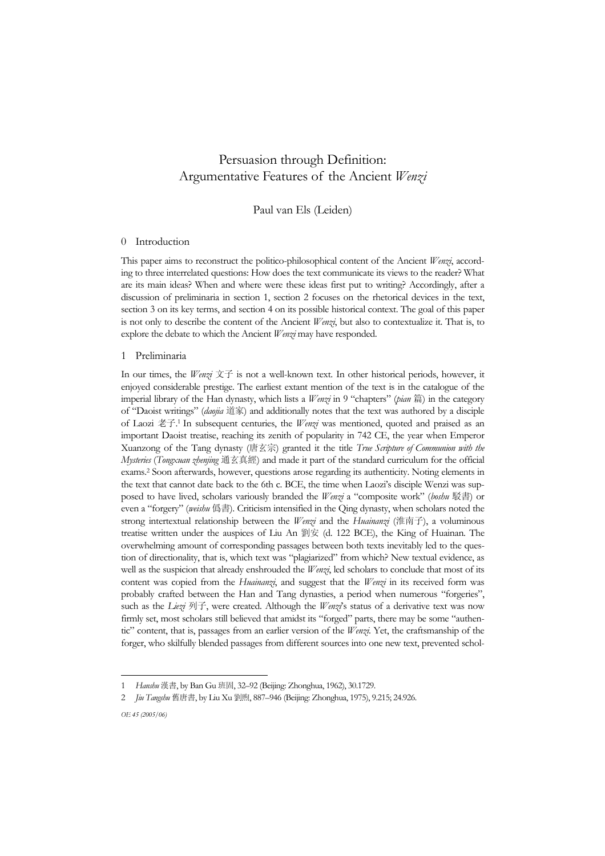# Persuasion through Definition: Argumentative Features of the Ancient *Wenzi*

Paul van Els (Leiden)

# 0 Introduction

This paper aims to reconstruct the politico-philosophical content of the Ancient *Wenzi*, according to three interrelated questions: How does the text communicate its views to the reader? What are its main ideas? When and where were these ideas first put to writing? Accordingly, after a discussion of preliminaria in section 1, section 2 focuses on the rhetorical devices in the text, section 3 on its key terms, and section 4 on its possible historical context. The goal of this paper is not only to describe the content of the Ancient *Wenzi*, but also to contextualize it. That is, to explore the debate to which the Ancient *Wenzi* may have responded.

# 1 Preliminaria

In our times, the *Wenzi* 文子 is not a well-known text. In other historical periods, however, it enjoyed considerable prestige. The earliest extant mention of the text is in the catalogue of the imperial library of the Han dynasty, which lists a *Wenzi* in 9 "chapters" (*pian* 篇) in the category of "Daoist writings" (*daojia* 道家) and additionally notes that the text was authored by a disciple of Laozi 老子. 1 In subsequent centuries, the *Wenzi* was mentioned, quoted and praised as an important Daoist treatise, reaching its zenith of popularity in 742 CE, the year when Emperor Xuanzong of the Tang dynasty (唐玄宗) granted it the title *True Scripture of Communion with the Mysteries* (*Tongxuan zhenjing* 通玄真經) and made it part of the standard curriculum for the official exams.2 Soon afterwards, however, questions arose regarding its authenticity. Noting elements in the text that cannot date back to the 6th c. BCE, the time when Laozi's disciple Wenzi was supposed to have lived, scholars variously branded the *Wenzi* a "composite work" (*boshu* 駁書) or even a "forgery" (*weishu* 僞書). Criticism intensified in the Qing dynasty, when scholars noted the strong intertextual relationship between the *Wenzi* and the *Huainanzi* (淮南子), a voluminous treatise written under the auspices of Liu An 劉安 (d. 122 BCE), the King of Huainan. The overwhelming amount of corresponding passages between both texts inevitably led to the question of directionality, that is, which text was "plagiarized" from which? New textual evidence, as well as the suspicion that already enshrouded the *Wenzi*, led scholars to conclude that most of its content was copied from the *Huainanzi*, and suggest that the *Wenzi* in its received form was probably crafted between the Han and Tang dynasties, a period when numerous "forgeries", such as the *Liezi* 列子, were created. Although the *Wenzi*'s status of a derivative text was now firmly set, most scholars still believed that amidst its "forged" parts, there may be some "authentic" content, that is, passages from an earlier version of the *Wenzi*. Yet, the craftsmanship of the forger, who skilfully blended passages from different sources into one new text, prevented schol-

j

<sup>1</sup> *Hanshu* 漢書, by Ban Gu 班固, 32–92 (Beijing: Zhonghua, 1962), 30.1729.

<sup>2</sup> *Jiu Tangshu* 舊唐書, by Liu Xu 劉煦, 887–946 (Beijing: Zhonghua, 1975), 9.215; 24.926.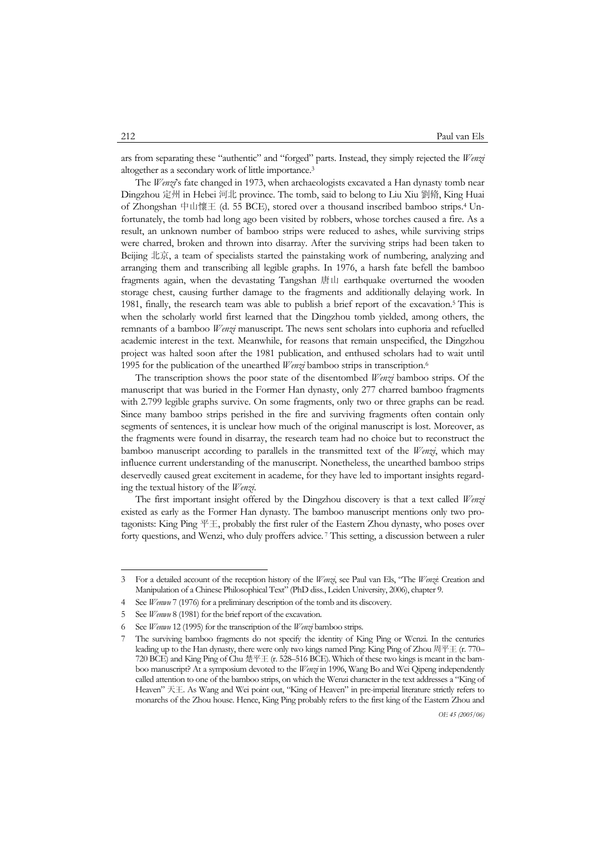ars from separating these "authentic" and "forged" parts. Instead, they simply rejected the *Wenzi* altogether as a secondary work of little importance.3

 The *Wenzi*'s fate changed in 1973, when archaeologists excavated a Han dynasty tomb near Dingzhou 定州 in Hebei 河北 province. The tomb, said to belong to Liu Xiu 劉脩, King Huai of Zhongshan 中山懷王 (d. 55 BCE), stored over a thousand inscribed bamboo strips.4 Unfortunately, the tomb had long ago been visited by robbers, whose torches caused a fire. As a result, an unknown number of bamboo strips were reduced to ashes, while surviving strips were charred, broken and thrown into disarray. After the surviving strips had been taken to Beijing 北京, a team of specialists started the painstaking work of numbering, analyzing and arranging them and transcribing all legible graphs. In 1976, a harsh fate befell the bamboo fragments again, when the devastating Tangshan 唐山 earthquake overturned the wooden storage chest, causing further damage to the fragments and additionally delaying work. In 1981, finally, the research team was able to publish a brief report of the excavation.<sup>5</sup> This is when the scholarly world first learned that the Dingzhou tomb yielded, among others, the remnants of a bamboo *Wenzi* manuscript. The news sent scholars into euphoria and refuelled academic interest in the text. Meanwhile, for reasons that remain unspecified, the Dingzhou project was halted soon after the 1981 publication, and enthused scholars had to wait until 1995 for the publication of the unearthed *Wenzi* bamboo strips in transcription.6

 The transcription shows the poor state of the disentombed *Wenzi* bamboo strips. Of the manuscript that was buried in the Former Han dynasty, only 277 charred bamboo fragments with 2.799 legible graphs survive. On some fragments, only two or three graphs can be read. Since many bamboo strips perished in the fire and surviving fragments often contain only segments of sentences, it is unclear how much of the original manuscript is lost. Moreover, as the fragments were found in disarray, the research team had no choice but to reconstruct the bamboo manuscript according to parallels in the transmitted text of the *Wenzi*, which may influence current understanding of the manuscript. Nonetheless, the unearthed bamboo strips deservedly caused great excitement in academe, for they have led to important insights regarding the textual history of the *Wenzi*.

 The first important insight offered by the Dingzhou discovery is that a text called *Wenzi* existed as early as the Former Han dynasty. The bamboo manuscript mentions only two protagonists: King Ping 平王, probably the first ruler of the Eastern Zhou dynasty, who poses over forty questions, and Wenzi, who duly proffers advice. 7 This setting, a discussion between a ruler

<sup>3</sup> For a detailed account of the reception history of the *Wenzi*, see Paul van Els, "The *Wenzi*: Creation and Manipulation of a Chinese Philosophical Text" (PhD diss., Leiden University, 2006), chapter 9.

<sup>4</sup> See *Wenwu* 7 (1976) for a preliminary description of the tomb and its discovery.

<sup>5</sup> See *Wenwu* 8 (1981) for the brief report of the excavation.

<sup>6</sup> See *Wenwu* 12 (1995) for the transcription of the *Wenzi* bamboo strips.

<sup>7</sup> The surviving bamboo fragments do not specify the identity of King Ping or Wenzi. In the centuries leading up to the Han dynasty, there were only two kings named Ping: King Ping of Zhou 周平王 (r. 770– 720 BCE) and King Ping of Chu 楚平王 (r. 528–516 BCE). Which of these two kings is meant in the bamboo manuscript? At a symposium devoted to the *Wenzi* in 1996, Wang Bo and Wei Qipeng independently called attention to one of the bamboo strips, on which the Wenzi character in the text addresses a "King of Heaven" 天王. As Wang and Wei point out, "King of Heaven" in pre-imperial literature strictly refers to monarchs of the Zhou house. Hence, King Ping probably refers to the first king of the Eastern Zhou and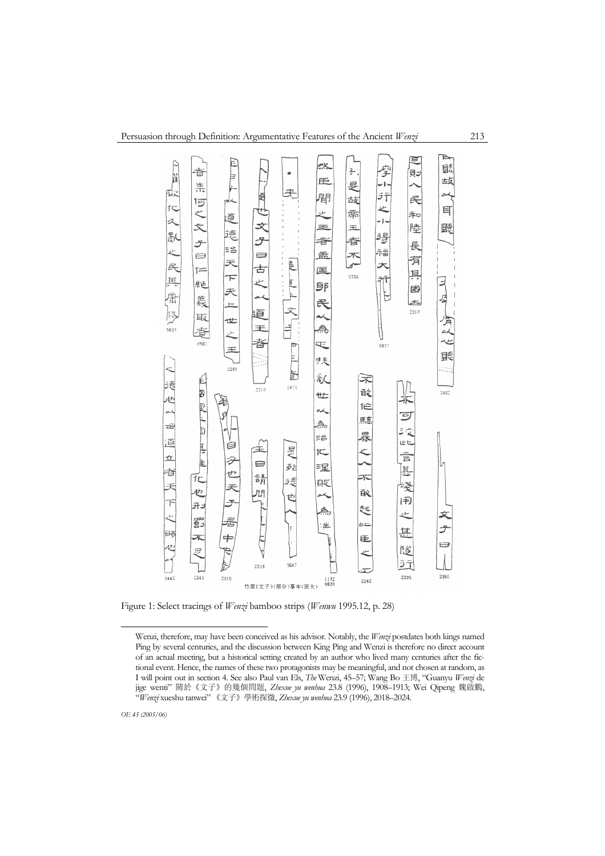

Figure 1: Select tracings of *Wenzi* bamboo strips (*Wenwu* 1995.12, p. 28)

Wenzi, therefore, may have been conceived as his advisor. Notably, the *Wenzi* postdates both kings named Ping by several centuries, and the discussion between King Ping and Wenzi is therefore no direct account of an actual meeting, but a historical setting created by an author who lived many centuries after the fictional event. Hence, the names of these two protagonists may be meaningful, and not chosen at random, as I will point out in section 4. See also Paul van Els, *The* Wenzi, 45–57; Wang Bo 王博, "Guanyu *Wenzi* de jige wenti" 關於《文子》的幾個問題, *Zhexue yu wenhua* 23.8 (1996), 1908–1913; Wei Qipeng 魏啟鵬, "*Wenzi* xueshu tanwei" 《文子》學術探微, *Zhexue yu wenhua* 23.9 (1996), 2018–2024.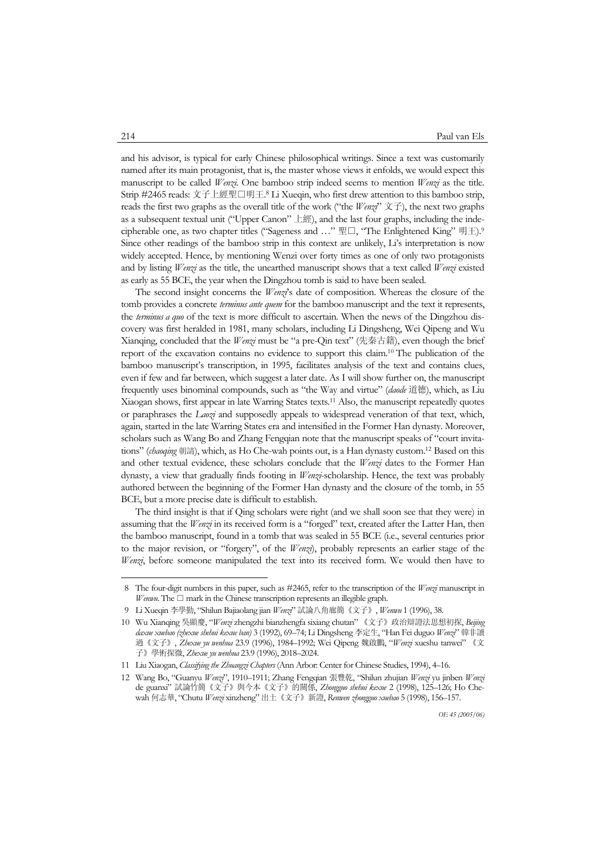and his advisor, is typical for early Chinese philosophical writings. Since a text was customarily named after its main protagonist, that is, the master whose views it enfolds, we would expect this manuscript to be called *Wenzi*. One bamboo strip indeed seems to mention *Wenzi* as the title. Strip #2465 reads: 文子上經聖□明王. 8 Li Xueqin, who first drew attention to this bamboo strip, reads the first two graphs as the overall title of the work ("the *Wenzi*" 文子), the next two graphs as a subsequent textual unit ("Upper Canon" 上經), and the last four graphs, including the indecipherable one, as two chapter titles ("Sageness and …" 聖□, "The Enlightened King" 明王).9 Since other readings of the bamboo strip in this context are unlikely, Li's interpretation is now widely accepted. Hence, by mentioning Wenzi over forty times as one of only two protagonists and by listing *Wenzi* as the title, the unearthed manuscript shows that a text called *Wenzi* existed as early as 55 BCE, the year when the Dingzhou tomb is said to have been sealed.

The second insight concerns the *Wenzi*'s date of composition. Whereas the closure of the tomb provides a concrete *terminus ante quem* for the bamboo manuscript and the text it represents, the *terminus a quo* of the text is more difficult to ascertain. When the news of the Dingzhou discovery was first heralded in 1981, many scholars, including Li Dingsheng, Wei Qipeng and Wu Xianqing, concluded that the *Wenzi* must be "a pre-Qin text" (先秦古籍), even though the brief report of the excavation contains no evidence to support this claim.10 The publication of the bamboo manuscript's transcription, in 1995, facilitates analysis of the text and contains clues, even if few and far between, which suggest a later date. As I will show further on, the manuscript frequently uses binominal compounds, such as "the Way and virtue" (*daode* 道德), which, as Liu Xiaogan shows, first appear in late Warring States texts.11 Also, the manuscript repeatedly quotes or paraphrases the *Laozi* and supposedly appeals to widespread veneration of that text, which, again, started in the late Warring States era and intensified in the Former Han dynasty. Moreover, scholars such as Wang Bo and Zhang Fengqian note that the manuscript speaks of "court invitations" (*chaoqing* 朝請), which, as Ho Che-wah points out, is a Han dynasty custom.12 Based on this and other textual evidence, these scholars conclude that the *Wenzi* dates to the Former Han dynasty, a view that gradually finds footing in *Wenzi*-scholarship. Hence, the text was probably authored between the beginning of the Former Han dynasty and the closure of the tomb, in 55 BCE, but a more precise date is difficult to establish.

 The third insight is that if Qing scholars were right (and we shall soon see that they were) in assuming that the *Wenzi* in its received form is a "forged" text, created after the Latter Han, then the bamboo manuscript, found in a tomb that was sealed in 55 BCE (i.e., several centuries prior to the major revision, or "forgery", of the *Wenzi*), probably represents an earlier stage of the *Wenzi*, before someone manipulated the text into its received form. We would then have to

 <sup>8</sup> The four-digit numbers in this paper, such as #2465, refer to the transcription of the *Wenzi* manuscript in *Wenwu*. The □ mark in the Chinese transcription represents an illegible graph.

 <sup>9</sup> Li Xueqin 李學勤, "Shilun Bajiaolang jian *Wenzi*" 試論八角廊簡《文子》, *Wenwu* 1 (1996), 38.

<sup>10</sup> Wu Xianqing 吳顯慶, "*Wenzi* zhengzhi bianzhengfa sixiang chutan" 《文子》政治辯證法思想初探, *Beijing daxue xuebao (zhexue shehui kexue ban)* 3 (1992), 69–74; Li Dingsheng 李定生, "Han Fei duguo *Wenzi*" 韓非讀 過《文子》, *Zhexue yu wenhua* 23.9 (1996), 1984–1992; Wei Qipeng 魏啟鵬, "*Wenzi* xueshu tanwei" 《文 子》學術探微, *Zhexue yu wenhua* 23.9 (1996), 2018–2024.

<sup>11</sup> Liu Xiaogan, *Classifying the Zhuangzi Chapters* (Ann Arbor: Center for Chinese Studies, 1994), 4–16.

<sup>12</sup> Wang Bo, "Guanyu *Wenzi*", 1910–1911; Zhang Fengqian 張豐乾, "Shilun zhujian *Wenzi* yu jinben *Wenzi* de guanxi" 試論竹簡《文子》與今本《文子》的關係, *Zhongguo shehui kexue* 2 (1998), 125–126; Ho Chewah 何志華, "Chutu *Wenzi* xinzheng" 出土《文子》新證, *Renwen zhongguo xuebao* 5 (1998), 156–157.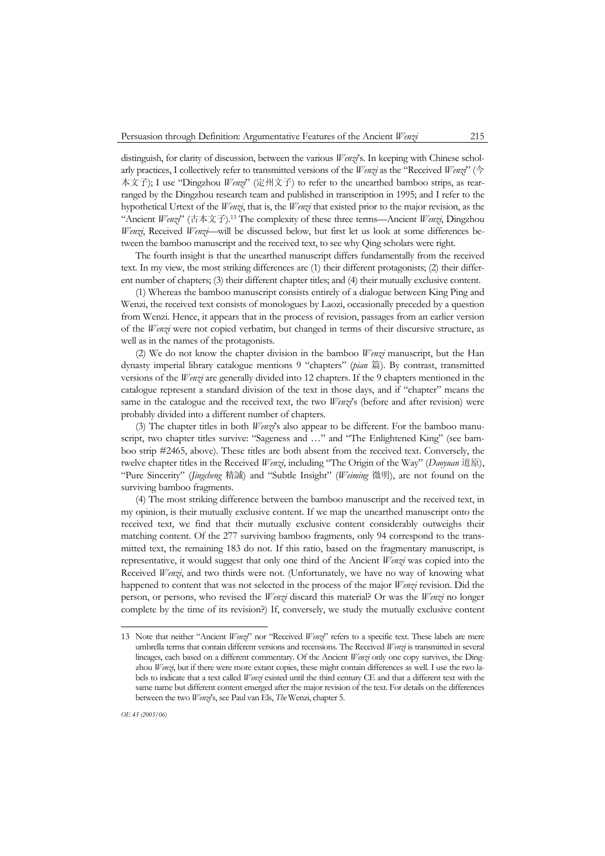distinguish, for clarity of discussion, between the various *Wenzi*'s. In keeping with Chinese scholarly practices, I collectively refer to transmitted versions of the *Wenzi* as the "Received *Wenzi*" (今 本文子); I use "Dingzhou *Wenzi*" (定州文子) to refer to the unearthed bamboo strips, as rearranged by the Dingzhou research team and published in transcription in 1995; and I refer to the hypothetical Urtext of the *Wenzi*, that is, the *Wenzi* that existed prior to the major revision, as the "Ancient *Wenzi*" (古本文子).13 The complexity of these three terms—Ancient *Wenzi*, Dingzhou *Wenzi*, Received *Wenzi*—will be discussed below, but first let us look at some differences between the bamboo manuscript and the received text, to see why Qing scholars were right.

 The fourth insight is that the unearthed manuscript differs fundamentally from the received text. In my view, the most striking differences are (1) their different protagonists; (2) their different number of chapters; (3) their different chapter titles; and (4) their mutually exclusive content.

 (1) Whereas the bamboo manuscript consists entirely of a dialogue between King Ping and Wenzi, the received text consists of monologues by Laozi, occasionally preceded by a question from Wenzi. Hence, it appears that in the process of revision, passages from an earlier version of the *Wenzi* were not copied verbatim, but changed in terms of their discursive structure, as well as in the names of the protagonists.

 (2) We do not know the chapter division in the bamboo *Wenzi* manuscript, but the Han dynasty imperial library catalogue mentions 9 "chapters" (*pian* 篇). By contrast, transmitted versions of the *Wenzi* are generally divided into 12 chapters. If the 9 chapters mentioned in the catalogue represent a standard division of the text in those days, and if "chapter" means the same in the catalogue and the received text, the two *Wenzi*'s (before and after revision) were probably divided into a different number of chapters.

 (3) The chapter titles in both *Wenzi*'s also appear to be different. For the bamboo manuscript, two chapter titles survive: "Sageness and …" and "The Enlightened King" (see bamboo strip #2465, above). These titles are both absent from the received text. Conversely, the twelve chapter titles in the Received *Wenzi*, including "The Origin of the Way" (*Daoyuan* 道原), "Pure Sincerity" (*Jingcheng* 精誠) and "Subtle Insight" (*Weiming* 微明), are not found on the surviving bamboo fragments.

 (4) The most striking difference between the bamboo manuscript and the received text, in my opinion, is their mutually exclusive content. If we map the unearthed manuscript onto the received text, we find that their mutually exclusive content considerably outweighs their matching content. Of the 277 surviving bamboo fragments, only 94 correspond to the transmitted text, the remaining 183 do not. If this ratio, based on the fragmentary manuscript, is representative, it would suggest that only one third of the Ancient *Wenzi* was copied into the Received *Wenzi*, and two thirds were not. (Unfortunately, we have no way of knowing what happened to content that was not selected in the process of the major *Wenzi* revision. Did the person, or persons, who revised the *Wenzi* discard this material? Or was the *Wenzi* no longer complete by the time of its revision?) If, conversely, we study the mutually exclusive content

<sup>13</sup> Note that neither "Ancient *Wenzi*" nor "Received *Wenzi*" refers to a specific text. These labels are mere umbrella terms that contain different versions and recensions. The Received *Wenzi* is transmitted in several lineages, each based on a different commentary. Of the Ancient *Wenzi* only one copy survives, the Dingzhou *Wenzi*, but if there were more extant copies, these might contain differences as well. I use the two labels to indicate that a text called *Wenzi* existed until the third century CE and that a different text with the same name but different content emerged after the major revision of the text. For details on the differences between the two *Wenzi*'s, see Paul van Els, *The* Wenzi, chapter 5.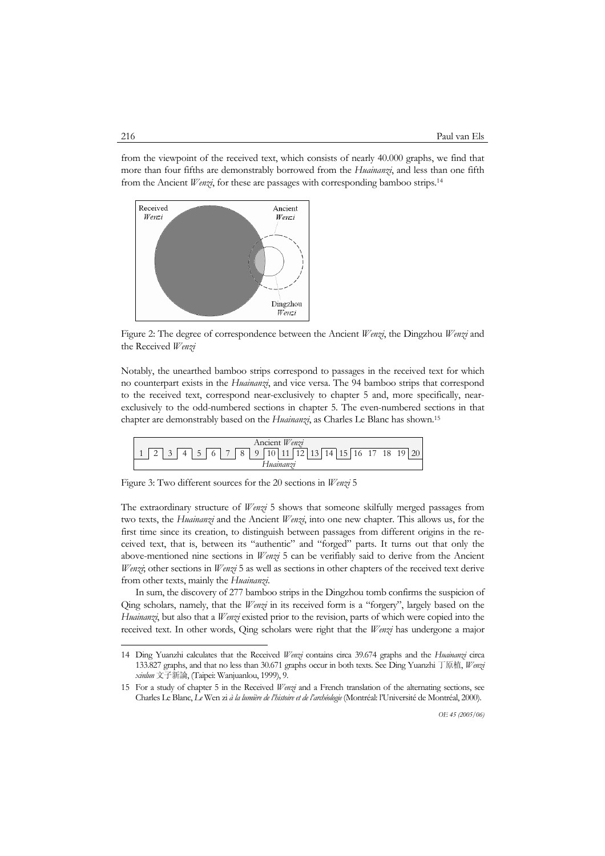from the viewpoint of the received text, which consists of nearly 40.000 graphs, we find that more than four fifths are demonstrably borrowed from the *Huainanzi*, and less than one fifth from the Ancient *Wenzi*, for these are passages with corresponding bamboo strips.14



Figure 2: The degree of correspondence between the Ancient *Wenzi*, the Dingzhou *Wenzi* and the Received *Wenzi*

Notably, the unearthed bamboo strips correspond to passages in the received text for which no counterpart exists in the *Huainanzi*, and vice versa. The 94 bamboo strips that correspond to the received text, correspond near-exclusively to chapter 5 and, more specifically, nearexclusively to the odd-numbered sections in chapter 5. The even-numbered sections in that chapter are demonstrably based on the *Huainanzi*, as Charles Le Blanc has shown.15

Ancient *Wenzi* 1 2 3 4 5 6 7 8 9 10 11 12 13 14 15 16 17 18 19 20 *Huainanzi*

Figure 3: Two different sources for the 20 sections in *Wenzi* 5

The extraordinary structure of *Wenzi* 5 shows that someone skilfully merged passages from two texts, the *Huainanzi* and the Ancient *Wenzi*, into one new chapter. This allows us, for the first time since its creation, to distinguish between passages from different origins in the received text, that is, between its "authentic" and "forged" parts. It turns out that only the above-mentioned nine sections in *Wenzi* 5 can be verifiably said to derive from the Ancient *Wenzi*; other sections in *Wenzi* 5 as well as sections in other chapters of the received text derive from other texts, mainly the *Huainanzi*.

 In sum, the discovery of 277 bamboo strips in the Dingzhou tomb confirms the suspicion of Qing scholars, namely, that the *Wenzi* in its received form is a "forgery", largely based on the *Huainanzi*, but also that a *Wenzi* existed prior to the revision, parts of which were copied into the received text. In other words, Qing scholars were right that the *Wenzi* has undergone a major

<sup>14</sup> Ding Yuanzhi calculates that the Received *Wenzi* contains circa 39.674 graphs and the *Huainanzi* circa 133.827 graphs, and that no less than 30.671 graphs occur in both texts. See Ding Yuanzhi 丁原植, *Wenzi xinlun* 文子新論, (Taipei: Wanjuanlou, 1999), 9.

<sup>15</sup> For a study of chapter 5 in the Received *Wenzi* and a French translation of the alternating sections, see Charles Le Blanc, *Le* Wen zi *à la lumière de l'histoire et de l'archéologie* (Montréal: l'Université de Montréal, 2000).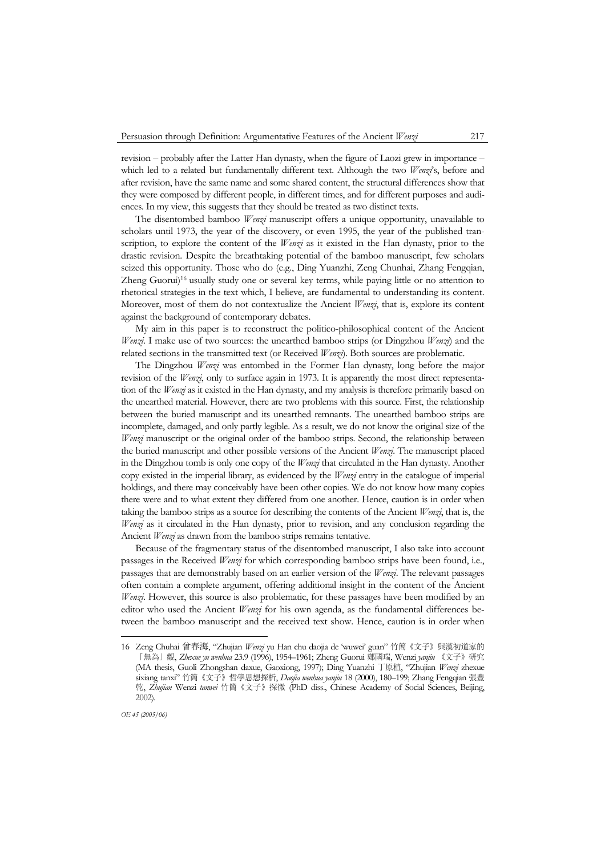revision – probably after the Latter Han dynasty, when the figure of Laozi grew in importance – which led to a related but fundamentally different text. Although the two *Wenzi*'s, before and after revision, have the same name and some shared content, the structural differences show that they were composed by different people, in different times, and for different purposes and audiences. In my view, this suggests that they should be treated as two distinct texts.

 The disentombed bamboo *Wenzi* manuscript offers a unique opportunity, unavailable to scholars until 1973, the year of the discovery, or even 1995, the year of the published transcription, to explore the content of the *Wenzi* as it existed in the Han dynasty, prior to the drastic revision. Despite the breathtaking potential of the bamboo manuscript, few scholars seized this opportunity. Those who do (e.g., Ding Yuanzhi, Zeng Chunhai, Zhang Fengqian, Zheng Guorui)<sup>16</sup> usually study one or several key terms, while paying little or no attention to rhetorical strategies in the text which, I believe, are fundamental to understanding its content. Moreover, most of them do not contextualize the Ancient *Wenzi*, that is, explore its content against the background of contemporary debates.

 My aim in this paper is to reconstruct the politico-philosophical content of the Ancient *Wenzi*. I make use of two sources: the unearthed bamboo strips (or Dingzhou *Wenzi*) and the related sections in the transmitted text (or Received *Wenzi*). Both sources are problematic.

 The Dingzhou *Wenzi* was entombed in the Former Han dynasty, long before the major revision of the *Wenzi*, only to surface again in 1973. It is apparently the most direct representation of the *Wenzi* as it existed in the Han dynasty, and my analysis is therefore primarily based on the unearthed material. However, there are two problems with this source. First, the relationship between the buried manuscript and its unearthed remnants. The unearthed bamboo strips are incomplete, damaged, and only partly legible. As a result, we do not know the original size of the *Wenzi* manuscript or the original order of the bamboo strips. Second, the relationship between the buried manuscript and other possible versions of the Ancient *Wenzi*. The manuscript placed in the Dingzhou tomb is only one copy of the *Wenzi* that circulated in the Han dynasty. Another copy existed in the imperial library, as evidenced by the *Wenzi* entry in the catalogue of imperial holdings, and there may conceivably have been other copies. We do not know how many copies there were and to what extent they differed from one another. Hence, caution is in order when taking the bamboo strips as a source for describing the contents of the Ancient *Wenzi*, that is, the *Wenzi* as it circulated in the Han dynasty, prior to revision, and any conclusion regarding the Ancient *Wenzi* as drawn from the bamboo strips remains tentative.

 Because of the fragmentary status of the disentombed manuscript, I also take into account passages in the Received *Wenzi* for which corresponding bamboo strips have been found, i.e., passages that are demonstrably based on an earlier version of the *Wenzi*. The relevant passages often contain a complete argument, offering additional insight in the content of the Ancient *Wenzi*. However, this source is also problematic, for these passages have been modified by an editor who used the Ancient *Wenzi* for his own agenda, as the fundamental differences between the bamboo manuscript and the received text show. Hence, caution is in order when

<sup>16</sup> Zeng Chuhai 曾春海, "Zhujian *Wenzi* yu Han chu daojia de 'wuwei' guan" 竹簡《文子》與漢初道家的 「無為」觀, *Zhexue yu wenhua* 23.9 (1996), 1954–1961; Zheng Guorui 鄭國瑞, Wenzi *yanjiu* 《文子》研究 (MA thesis, Guoli Zhongshan daxue, Gaoxiong, 1997); Ding Yuanzhi 丁原植, "Zhujian *Wenzi* zhexue sixiang tanxi" 竹簡《文子》哲學思想探析, *Daojia wenhua yanjiu* 18 (2000), 180–199; Zhang Fengqian 張豐 乾, *Zhujian* Wenzi *tanwei* 竹簡《文子》探微 (PhD diss., Chinese Academy of Social Sciences, Beijing, 2002).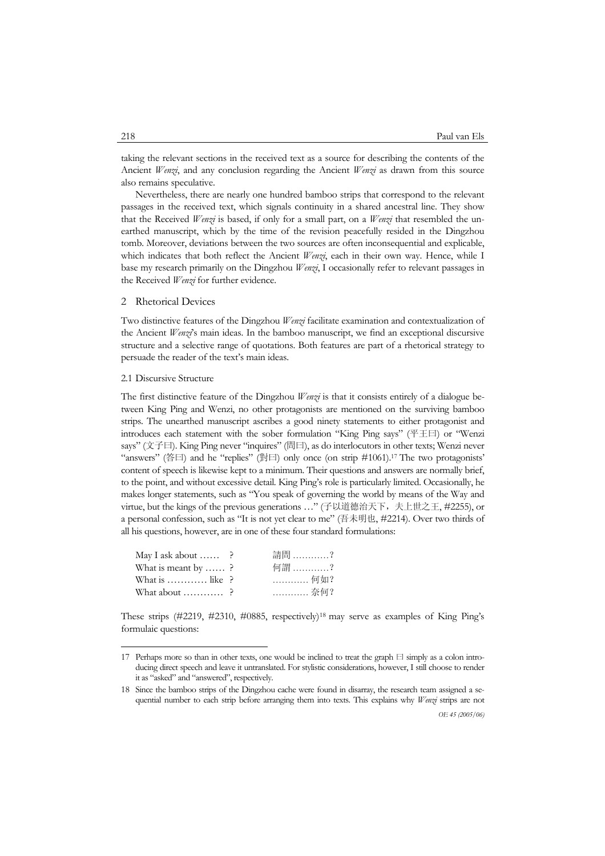taking the relevant sections in the received text as a source for describing the contents of the Ancient *Wenzi*, and any conclusion regarding the Ancient *Wenzi* as drawn from this source also remains speculative.

 Nevertheless, there are nearly one hundred bamboo strips that correspond to the relevant passages in the received text, which signals continuity in a shared ancestral line. They show that the Received *Wenzi* is based, if only for a small part, on a *Wenzi* that resembled the unearthed manuscript, which by the time of the revision peacefully resided in the Dingzhou tomb. Moreover, deviations between the two sources are often inconsequential and explicable, which indicates that both reflect the Ancient *Wenzi*, each in their own way. Hence, while I base my research primarily on the Dingzhou *Wenzi*, I occasionally refer to relevant passages in the Received *Wenzi* for further evidence.

# 2 Rhetorical Devices

Two distinctive features of the Dingzhou *Wenzi* facilitate examination and contextualization of the Ancient *Wenzi*'s main ideas. In the bamboo manuscript, we find an exceptional discursive structure and a selective range of quotations. Both features are part of a rhetorical strategy to persuade the reader of the text's main ideas.

### 2.1 Discursive Structure

-

The first distinctive feature of the Dingzhou *Wenzi* is that it consists entirely of a dialogue between King Ping and Wenzi, no other protagonists are mentioned on the surviving bamboo strips. The unearthed manuscript ascribes a good ninety statements to either protagonist and introduces each statement with the sober formulation "King Ping says" (平王曰) or "Wenzi says" (文子曰). King Ping never "inquires" (問曰), as do interlocutors in other texts; Wenzi never "answers" (答曰) and he "replies" (對曰) only once (on strip  $\#1061$ ).<sup>17</sup> The two protagonists' content of speech is likewise kept to a minimum. Their questions and answers are normally brief, to the point, and without excessive detail. King Ping's role is particularly limited. Occasionally, he makes longer statements, such as "You speak of governing the world by means of the Way and virtue, but the kings of the previous generations ..." (子以道德治天下, 夫上世之王, #2255), or a personal confession, such as "It is not yet clear to me" (吾未明也, #2214). Over two thirds of all his questions, however, are in one of these four standard formulations:

| May I ask about $\ldots$ ?         | 請問 ?     |
|------------------------------------|----------|
| What is meant by  ?                | 何謂 ?     |
| What is $\dots \dots \dots$ like ? | ………… 何如? |
| What about $\dots\dots\dots$ ?     | 奈何?      |

These strips  $(\#2219, \#2310, \#0885, \text{ respectively})^{18}$  may serve as examples of King Ping's formulaic questions:

<sup>17</sup> Perhaps more so than in other texts, one would be inclined to treat the graph  $\Box$  simply as a colon introducing direct speech and leave it untranslated. For stylistic considerations, however, I still choose to render it as "asked" and "answered", respectively.

<sup>18</sup> Since the bamboo strips of the Dingzhou cache were found in disarray, the research team assigned a sequential number to each strip before arranging them into texts. This explains why *Wenzi* strips are not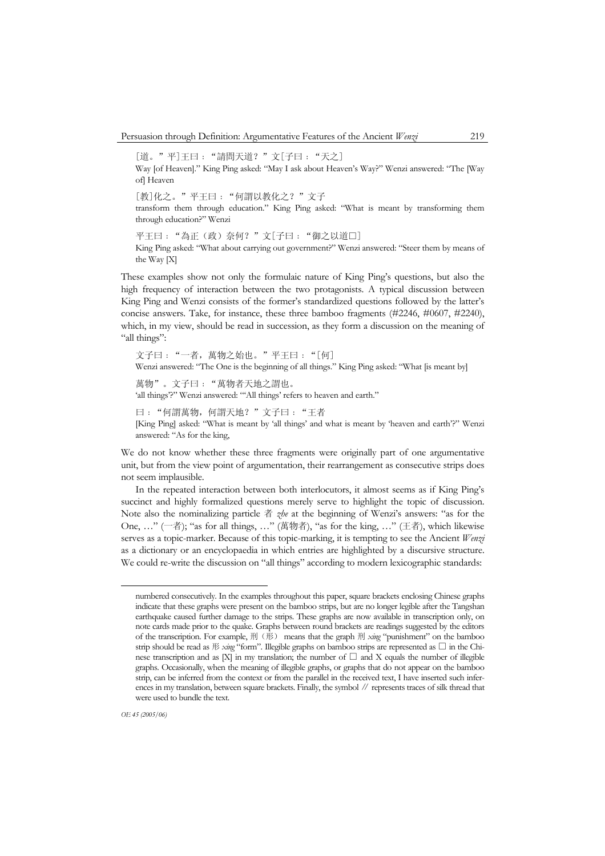[道。"平]王曰: "請問天道?"文[子曰: "天之] Way [of Heaven]." King Ping asked: "May I ask about Heaven's Way?" Wenzi answered: "The [Way of] Heaven [教]化之。"平王曰﹕"何謂以教化之?"文子 transform them through education." King Ping asked: "What is meant by transforming them through education?" Wenzi 平王曰: "為正(政)奈何?"文[子曰: "御之以道□] King Ping asked: "What about carrying out government?" Wenzi answered: "Steer them by means of the Way [X]

These examples show not only the formulaic nature of King Ping's questions, but also the high frequency of interaction between the two protagonists. A typical discussion between King Ping and Wenzi consists of the former's standardized questions followed by the latter's concise answers. Take, for instance, these three bamboo fragments (#2246, #0607, #2240), which, in my view, should be read in succession, as they form a discussion on the meaning of "all things":

文子曰: "一者, 萬物之始也。"平王曰: "[何] Wenzi answered: "The One is the beginning of all things." King Ping asked: "What [is meant by] 萬物"。文子曰:"萬物者天地之謂也。 'all things'?" Wenzi answered: "'All things' refers to heaven and earth." 曰: "何謂萬物, 何謂天地?"文子曰: "王者 [King Ping] asked: "What is meant by 'all things' and what is meant by 'heaven and earth'?" Wenzi answered: "As for the king,

We do not know whether these three fragments were originally part of one argumentative unit, but from the view point of argumentation, their rearrangement as consecutive strips does not seem implausible.

 In the repeated interaction between both interlocutors, it almost seems as if King Ping's succinct and highly formalized questions merely serve to highlight the topic of discussion. Note also the nominalizing particle 者 *zhe* at the beginning of Wenzi's answers: "as for the One, …" (一者); "as for all things, …" (萬物者), "as for the king, …" (王者), which likewise serves as a topic-marker. Because of this topic-marking, it is tempting to see the Ancient *Wenzi* as a dictionary or an encyclopaedia in which entries are highlighted by a discursive structure. We could re-write the discussion on "all things" according to modern lexicographic standards:

numbered consecutively. In the examples throughout this paper, square brackets enclosing Chinese graphs indicate that these graphs were present on the bamboo strips, but are no longer legible after the Tangshan earthquake caused further damage to the strips. These graphs are now available in transcription only, on note cards made prior to the quake. Graphs between round brackets are readings suggested by the editors of the transcription. For example, 刑(形) means that the graph 刑 *xing* "punishment" on the bamboo strip should be read as  $\mathcal W$  *xing* "form". Illegible graphs on bamboo strips are represented as  $\square$  in the Chinese transcription and as [X] in my translation; the number of  $\square$  and X equals the number of illegible graphs. Occasionally, when the meaning of illegible graphs, or graphs that do not appear on the bamboo strip, can be inferred from the context or from the parallel in the received text, I have inserted such inferences in my translation, between square brackets. Finally, the symbol ∥ represents traces of silk thread that were used to bundle the text.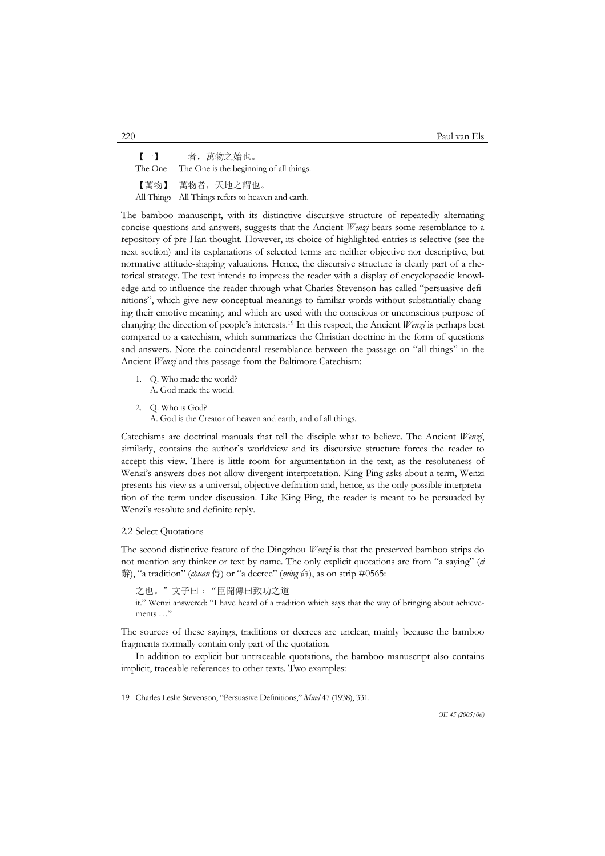【一】 一者,萬物之始也。 The One The One is the beginning of all things. 【萬物】 萬物者,天地之謂也。 All Things All Things refers to heaven and earth.

The bamboo manuscript, with its distinctive discursive structure of repeatedly alternating concise questions and answers, suggests that the Ancient *Wenzi* bears some resemblance to a repository of pre-Han thought. However, its choice of highlighted entries is selective (see the next section) and its explanations of selected terms are neither objective nor descriptive, but normative attitude-shaping valuations. Hence, the discursive structure is clearly part of a rhetorical strategy. The text intends to impress the reader with a display of encyclopaedic knowledge and to influence the reader through what Charles Stevenson has called "persuasive definitions", which give new conceptual meanings to familiar words without substantially changing their emotive meaning, and which are used with the conscious or unconscious purpose of changing the direction of people's interests.19 In this respect, the Ancient *Wenzi* is perhaps best compared to a catechism, which summarizes the Christian doctrine in the form of questions and answers. Note the coincidental resemblance between the passage on "all things" in the Ancient *Wenzi* and this passage from the Baltimore Catechism:

- 1. Q. Who made the world? A. God made the world.
- 2. Q. Who is God?

A. God is the Creator of heaven and earth, and of all things.

Catechisms are doctrinal manuals that tell the disciple what to believe. The Ancient *Wenzi*, similarly, contains the author's worldview and its discursive structure forces the reader to accept this view. There is little room for argumentation in the text, as the resoluteness of Wenzi's answers does not allow divergent interpretation. King Ping asks about a term, Wenzi presents his view as a universal, objective definition and, hence, as the only possible interpretation of the term under discussion. Like King Ping, the reader is meant to be persuaded by Wenzi's resolute and definite reply.

# 2.2 Select Quotations

j

The second distinctive feature of the Dingzhou *Wenzi* is that the preserved bamboo strips do not mention any thinker or text by name. The only explicit quotations are from "a saying" (*ci* 辭), "a tradition" (*chuan* 傳) or "a decree" (*ming* 命), as on strip #0565:

之也。"文子曰:"臣聞傳曰致功之道 it." Wenzi answered: "I have heard of a tradition which says that the way of bringing about achievements …"

The sources of these sayings, traditions or decrees are unclear, mainly because the bamboo fragments normally contain only part of the quotation.

 In addition to explicit but untraceable quotations, the bamboo manuscript also contains implicit, traceable references to other texts. Two examples:

<sup>19</sup> Charles Leslie Stevenson, "Persuasive Definitions," *Mind* 47 (1938), 331.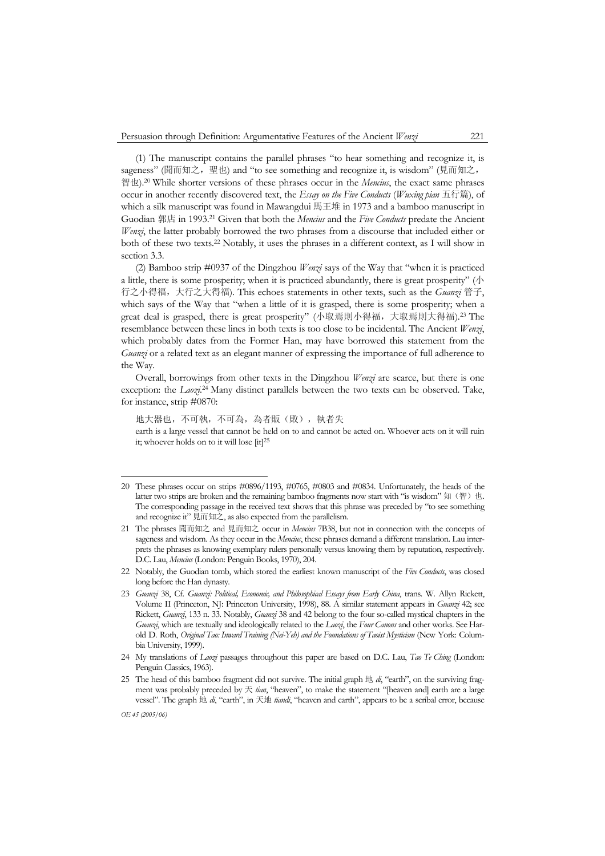(1) The manuscript contains the parallel phrases "to hear something and recognize it, is sageness" (聞而知之, 聖也) and "to see something and recognize it, is wisdom" (見而知之, 智也).20 While shorter versions of these phrases occur in the *Mencius*, the exact same phrases occur in another recently discovered text, the *Essay on the Five Conducts* (*Wuxing pian* 五行篇), of which a silk manuscript was found in Mawangdui 馬王堆 in 1973 and a bamboo manuscript in Guodian 郭店 in 1993.21 Given that both the *Mencius* and the *Five Conducts* predate the Ancient *Wenzi*, the latter probably borrowed the two phrases from a discourse that included either or both of these two texts.22 Notably, it uses the phrases in a different context, as I will show in section 3.3.

 (2) Bamboo strip #0937 of the Dingzhou *Wenzi* says of the Way that "when it is practiced a little, there is some prosperity; when it is practiced abundantly, there is great prosperity" ( $\Diamond$ ) 行之小得福,大行之大得福). This echoes statements in other texts, such as the *Guanzi* 管子, which says of the Way that "when a little of it is grasped, there is some prosperity; when a great deal is grasped, there is great prosperity" (小取焉則小得福,大取焉則大得福).23 The resemblance between these lines in both texts is too close to be incidental. The Ancient *Wenzi*, which probably dates from the Former Han, may have borrowed this statement from the *Guanzi* or a related text as an elegant manner of expressing the importance of full adherence to the Way.

 Overall, borrowings from other texts in the Dingzhou *Wenzi* are scarce, but there is one exception: the *Laozi*. 24 Many distinct parallels between the two texts can be observed. Take, for instance, strip #0870:

地大器也,不可執,不可為,為者販(敗),執者失 earth is a large vessel that cannot be held on to and cannot be acted on. Whoever acts on it will ruin it; whoever holds on to it will lose  $[it]^{25}$ 

j

<sup>20</sup> These phrases occur on strips #0896/1193, #0765, #0803 and #0834. Unfortunately, the heads of the latter two strips are broken and the remaining bamboo fragments now start with "is wisdom" 知(智)也. The corresponding passage in the received text shows that this phrase was preceded by "to see something and recognize it" 見而知之, as also expected from the parallelism.

<sup>21</sup> The phrases 聞而知之 and 見而知之 occur in *Mencius* 7B38, but not in connection with the concepts of sageness and wisdom. As they occur in the *Mencius*, these phrases demand a different translation. Lau interprets the phrases as knowing exemplary rulers personally versus knowing them by reputation, respectively. D.C. Lau, *Mencius* (London: Penguin Books, 1970), 204.

<sup>22</sup> Notably, the Guodian tomb, which stored the earliest known manuscript of the *Five Conducts*, was closed long before the Han dynasty.

<sup>23</sup> *Guanzi* 38, Cf. *Guanzi: Political, Economic, and Philosophical Essays from Early China*, trans. W. Allyn Rickett, Volume II (Princeton, NJ: Princeton University, 1998), 88. A similar statement appears in *Guanzi* 42; see Rickett, *Guanzi*, 133 n. 33. Notably, *Guanzi* 38 and 42 belong to the four so-called mystical chapters in the *Guanzi*, which are textually and ideologically related to the *Laozi*, the *Four Canons* and other works. See Harold D. Roth, *Original Tao: Inward Training (Nei-Yeh) and the Foundations of Taoist Mysticism* (New York: Columbia University, 1999).

<sup>24</sup> My translations of *Laozi* passages throughout this paper are based on D.C. Lau, *Tao Te Ching* (London: Penguin Classics, 1963).

<sup>25</sup> The head of this bamboo fragment did not survive. The initial graph 地 *di*, "earth", on the surviving fragment was probably preceded by 天 *tian*, "heaven", to make the statement "[heaven and] earth are a large vessel". The graph 地 *di*, "earth", in 天地 *tiandi*, "heaven and earth", appears to be a scribal error, because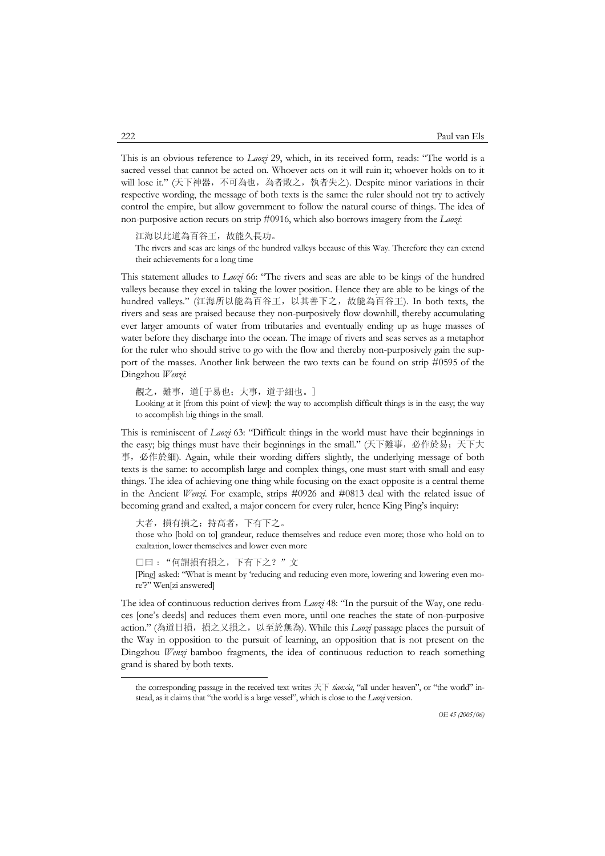This is an obvious reference to *Laozi* 29, which, in its received form, reads: "The world is a sacred vessel that cannot be acted on. Whoever acts on it will ruin it; whoever holds on to it will lose it." (天下神器,不可為也,為者敗之,執者失之). Despite minor variations in their respective wording, the message of both texts is the same: the ruler should not try to actively control the empire, but allow government to follow the natural course of things. The idea of non-purposive action recurs on strip #0916, which also borrows imagery from the *Laozi*:

江海以此道為百谷王,故能久長功。

The rivers and seas are kings of the hundred valleys because of this Way. Therefore they can extend their achievements for a long time

This statement alludes to *Laozi* 66: "The rivers and seas are able to be kings of the hundred valleys because they excel in taking the lower position. Hence they are able to be kings of the hundred valleys." (江海所以能為百谷王,以其善下之,故能為百谷王). In both texts, the rivers and seas are praised because they non-purposively flow downhill, thereby accumulating ever larger amounts of water from tributaries and eventually ending up as huge masses of water before they discharge into the ocean. The image of rivers and seas serves as a metaphor for the ruler who should strive to go with the flow and thereby non-purposively gain the support of the masses. Another link between the two texts can be found on strip #0595 of the Dingzhou *Wenzi*:

觀之,難事,道「于易也;大事,道于細也。]

Looking at it [from this point of view]: the way to accomplish difficult things is in the easy; the way to accomplish big things in the small.

This is reminiscent of *Laozi* 63: "Difficult things in the world must have their beginnings in the easy; big things must have their beginnings in the small." (天下難事, 必作於易;天下大 事,必作於細). Again, while their wording differs slightly, the underlying message of both texts is the same: to accomplish large and complex things, one must start with small and easy things. The idea of achieving one thing while focusing on the exact opposite is a central theme in the Ancient *Wenzi*. For example, strips #0926 and #0813 deal with the related issue of becoming grand and exalted, a major concern for every ruler, hence King Ping's inquiry:

大者,損有損之;持高者,下有下之。

those who [hold on to] grandeur, reduce themselves and reduce even more; those who hold on to exaltation, lower themselves and lower even more

□曰﹕"何謂損有損之,下有下之?"文

[Ping] asked: "What is meant by 'reducing and reducing even more, lowering and lowering even more'?" Wen[zi answered]

The idea of continuous reduction derives from *Laozi* 48: "In the pursuit of the Way, one reduces [one's deeds] and reduces them even more, until one reaches the state of non-purposive action." (為道日損,損之又損之,以至於無為). While this *Laozi* passage places the pursuit of the Way in opposition to the pursuit of learning, an opposition that is not present on the Dingzhou *Wenzi* bamboo fragments, the idea of continuous reduction to reach something grand is shared by both texts.

the corresponding passage in the received text writes 天下 *tianxia*, "all under heaven", or "the world" instead, as it claims that "the world is a large vessel", which is close to the *Laozi* version.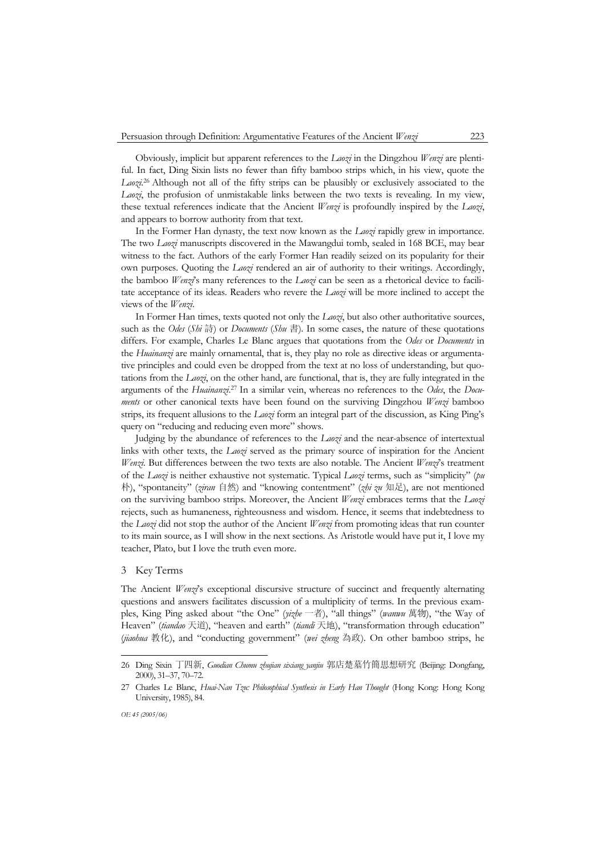Obviously, implicit but apparent references to the *Laozi* in the Dingzhou *Wenzi* are plentiful. In fact, Ding Sixin lists no fewer than fifty bamboo strips which, in his view, quote the Laozi<sup>26</sup> Although not all of the fifty strips can be plausibly or exclusively associated to the *Laozi*, the profusion of unmistakable links between the two texts is revealing. In my view, these textual references indicate that the Ancient *Wenzi* is profoundly inspired by the *Laozi*, and appears to borrow authority from that text.

 In the Former Han dynasty, the text now known as the *Laozi* rapidly grew in importance. The two *Laozi* manuscripts discovered in the Mawangdui tomb, sealed in 168 BCE, may bear witness to the fact. Authors of the early Former Han readily seized on its popularity for their own purposes. Quoting the *Laozi* rendered an air of authority to their writings. Accordingly, the bamboo *Wenzi*'s many references to the *Laozi* can be seen as a rhetorical device to facilitate acceptance of its ideas. Readers who revere the *Laozi* will be more inclined to accept the views of the *Wenzi*.

 In Former Han times, texts quoted not only the *Laozi*, but also other authoritative sources, such as the *Odes* (*Shi* 詩) or *Documents* (*Shu* 書). In some cases, the nature of these quotations differs. For example, Charles Le Blanc argues that quotations from the *Odes* or *Documents* in the *Huainanzi* are mainly ornamental, that is, they play no role as directive ideas or argumentative principles and could even be dropped from the text at no loss of understanding, but quotations from the *Laozi*, on the other hand, are functional, that is, they are fully integrated in the arguments of the *Huainanzi*. 27 In a similar vein, whereas no references to the *Odes*, the *Documents* or other canonical texts have been found on the surviving Dingzhou *Wenzi* bamboo strips, its frequent allusions to the *Laozi* form an integral part of the discussion, as King Ping's query on "reducing and reducing even more" shows.

 Judging by the abundance of references to the *Laozi* and the near-absence of intertextual links with other texts, the *Laozi* served as the primary source of inspiration for the Ancient *Wenzi*. But differences between the two texts are also notable. The Ancient *Wenzi*'s treatment of the *Laozi* is neither exhaustive not systematic. Typical *Laozi* terms, such as "simplicity" (*pu* 朴), "spontaneity" (*ziran* 自然) and "knowing contentment" (*zhi zu* 知足), are not mentioned on the surviving bamboo strips. Moreover, the Ancient *Wenzi* embraces terms that the *Laozi* rejects, such as humaneness, righteousness and wisdom. Hence, it seems that indebtedness to the *Laozi* did not stop the author of the Ancient *Wenzi* from promoting ideas that run counter to its main source, as I will show in the next sections. As Aristotle would have put it, I love my teacher, Plato, but I love the truth even more.

# 3 Key Terms

The Ancient *Wenzi*'s exceptional discursive structure of succinct and frequently alternating questions and answers facilitates discussion of a multiplicity of terms. In the previous examples, King Ping asked about "the One" (*yizhe* 一者), "all things" (*wanwu* 萬物), "the Way of Heaven" (*tiandao* 天道), "heaven and earth" (*tiandi* 天地), "transformation through education" (*jiaohua* 教化), and "conducting government" (*wei zheng* 為政). On other bamboo strips, he

<sup>26</sup> Ding Sixin 丁四新, *Guodian Chumu zhujian sixiang yanjiu* 郭店楚墓竹簡思想研究 (Beijing: Dongfang, 2000), 31–37, 70–72.

<sup>27</sup> Charles Le Blanc, *Huai-Nan Tzu: Philosophical Synthesis in Early Han Thought* (Hong Kong: Hong Kong University, 1985), 84.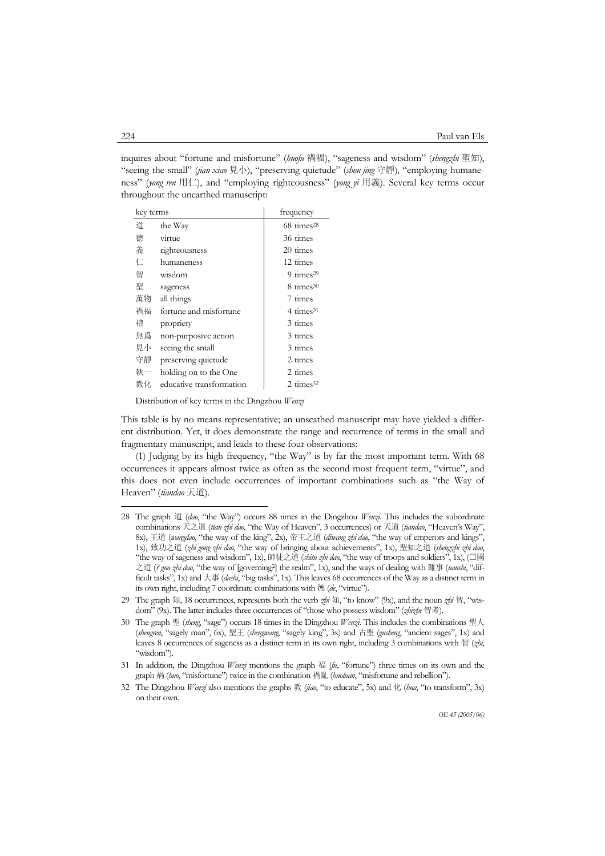inquires about "fortune and misfortune" (*huofu* 禍福), "sageness and wisdom" (*shengzhi* 聖知), "seeing the small" (*jian xiao* 見小), "preserving quietude" (*shou jing* 守靜), "employing humaneness" (*yong ren* 用仁), and "employing righteousness" (*yong yi* 用義). Several key terms occur throughout the unearthed manuscript:

| key terms |                          | frequency               |
|-----------|--------------------------|-------------------------|
| 道         | the Way                  | $68 \text{ times}^{28}$ |
| 德         | virtue                   | 36 times                |
| 義         | righteousness            | 20 times                |
| 仁         | humaneness               | 12 times                |
| 智         | wisdom                   | 9 $times29$             |
| 聖         | sageness                 | $8 \text{ times}^{30}$  |
| 萬物        | all things               | 7 times                 |
| 禍福        | fortune and misfortune   | $4 \times 31$           |
| 褿         | propriety                | 3 times                 |
| 無爲        | non-purposive action     | 3 times                 |
| 見小        | seeing the small         | 3 times                 |
| 守靜        | preserving quietude      | 2 times                 |
| 執一        | holding on to the One    | 2 times                 |
| 教化        | educative transformation | 2 times $32$            |

Distribution of key terms in the Dingzhou *Wenzi*

This table is by no means representative; an unscathed manuscript may have yielded a different distribution. Yet, it does demonstrate the range and recurrence of terms in the small and fragmentary manuscript, and leads to these four observations:

 (1) Judging by its high frequency, "the Way" is by far the most important term. With 68 occurrences it appears almost twice as often as the second most frequent term, "virtue", and this does not even include occurrences of important combinations such as "the Way of Heaven" (*tiandao* 天道).

<sup>28</sup> The graph 道 (*dao*, "the Way") occurs 88 times in the Dingzhou *Wenzi*. This includes the subordinate combinations 天之道 (*tian zhi dao*, "the Way of Heaven", 3 occurrences) or 天道 (*tiandao*, "Heaven's Way", 8x), 王道 (*wangdao*, "the way of the king", 2x), 帝王之道 (*diwang zhi dao*, "the way of emperors and kings", 1x), 致功之道 (*zhi gong zhi dao*, "the way of bringing about achievements", 1x), 聖知之道 (*shengzhi zhi dao*, "the way of sageness and wisdom", 1x), 師徒之道 (*shitu zhi dao*, "the way of troops and soldiers", 1x), (□國 之道 (*? guo zhi dao*, "the way of [governing?] the realm", 1x), and the ways of dealing with 難事 (*nanshi*, "difficult tasks", 1x) and 大事 (*dashi*, "big tasks", 1x). This leaves 68 occurrences of the Way as a distinct term in its own right, including 7 coordinate combinations with 德 (*de*, "virtue").

<sup>29</sup> The graph 知, 18 occurrences, represents both the verb *zhi* 知, "to know" (9x), and the noun *zhi* 智, "wisdom" (9x). The latter includes three occurrences of "those who possess wisdom" (*zhizhe* 智者).

<sup>30</sup> The graph 聖 (*sheng*, "sage") occurs 18 times in the Dingzhou *Wenzi*. This includes the combinations 聖人 (*shengren*, "sagely man", 6x), 聖王 (*shengwang*, "sagely king", 3x) and 古聖 (*gusheng*, "ancient sages", 1x) and leaves 8 occurrences of sageness as a distinct term in its own right, including 3 combinations with 智 (*zhi*, "wisdom").

<sup>31</sup> In addition, the Dingzhou *Wenzi* mentions the graph 福 (*fu*, "fortune") three times on its own and the graph 禍 (*huo*, "misfortune") twice in the combination 禍亂 (*huoluan*, "misfortune and rebellion").

<sup>32</sup> The Dingzhou *Wenzi* also mentions the graphs 教 (*jiao*, "to educate", 5x) and 化 (*hua*, "to transform", 3x) on their own.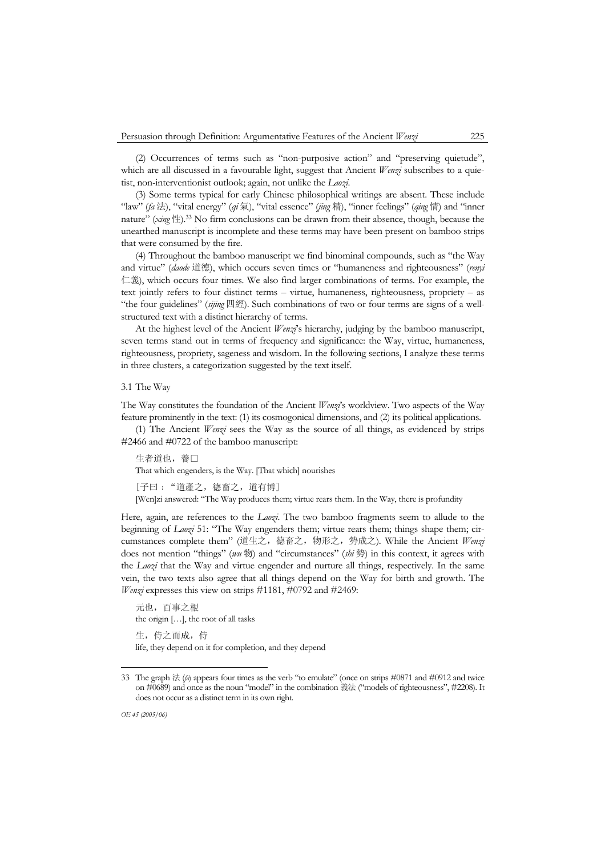(2) Occurrences of terms such as "non-purposive action" and "preserving quietude", which are all discussed in a favourable light, suggest that Ancient *Wenzi* subscribes to a quietist, non-interventionist outlook; again, not unlike the *Laozi*.

 (3) Some terms typical for early Chinese philosophical writings are absent. These include "law" (*fa* 法), "vital energy" (*qi* 氣), "vital essence" (*jing* 精), "inner feelings" (*qing* 情) and "inner nature" (*xing* 性).33 No firm conclusions can be drawn from their absence, though, because the unearthed manuscript is incomplete and these terms may have been present on bamboo strips that were consumed by the fire.

 (4) Throughout the bamboo manuscript we find binominal compounds, such as "the Way and virtue" (*daode* 道德), which occurs seven times or "humaneness and righteousness" (*renyi*  仁義), which occurs four times. We also find larger combinations of terms. For example, the text jointly refers to four distinct terms – virtue, humaneness, righteousness, propriety – as "the four guidelines" (*sijing* 四經). Such combinations of two or four terms are signs of a wellstructured text with a distinct hierarchy of terms.

 At the highest level of the Ancient *Wenzi*'s hierarchy, judging by the bamboo manuscript, seven terms stand out in terms of frequency and significance: the Way, virtue, humaneness, righteousness, propriety, sageness and wisdom. In the following sections, I analyze these terms in three clusters, a categorization suggested by the text itself.

3.1 The Way

The Way constitutes the foundation of the Ancient *Wenzi*'s worldview. Two aspects of the Way feature prominently in the text: (1) its cosmogonical dimensions, and (2) its political applications.

 (1) The Ancient *Wenzi* sees the Way as the source of all things, as evidenced by strips #2466 and #0722 of the bamboo manuscript:

生者道也,養口 That which engenders, is the Way. [That which] nourishes

[子曰﹕"道產之,德畜之,道有博]

[Wen]zi answered: "The Way produces them; virtue rears them. In the Way, there is profundity

Here, again, are references to the *Laozi*. The two bamboo fragments seem to allude to the beginning of *Laozi* 51: "The Way engenders them; virtue rears them; things shape them; circumstances complete them" (道生之,德畜之,物形之,勢成之). While the Ancient *Wenzi* does not mention "things" (*wu* 物) and "circumstances" (*shi* 勢) in this context, it agrees with the *Laozi* that the Way and virtue engender and nurture all things, respectively. In the same vein, the two texts also agree that all things depend on the Way for birth and growth. The *Wenzi* expresses this view on strips #1181, #0792 and #2469:

元也,百事之根 the origin […], the root of all tasks 生,侍之而成,侍 life, they depend on it for completion, and they depend

<sup>33</sup> The graph 法 (*fa*) appears four times as the verb "to emulate" (once on strips #0871 and #0912 and twice on #0689) and once as the noun "model" in the combination 義法 ("models of righteousness", #2208). It does not occur as a distinct term in its own right.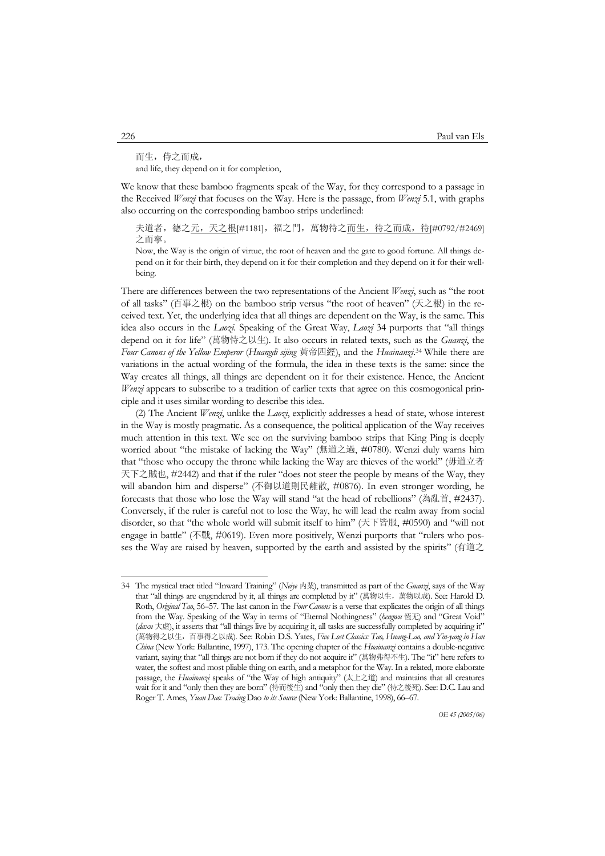而生,侍之而成,

and life, they depend on it for completion,

We know that these bamboo fragments speak of the Way, for they correspond to a passage in the Received *Wenzi* that focuses on the Way. Here is the passage, from *Wenzi* 5.1, with graphs also occurring on the corresponding bamboo strips underlined:

夫道者,德之<u>元,天之根</u>[#1181],福之門,萬物待之<u>而生,待之而成,待[</u>#0792/#2469] 之而寧。

Now, the Way is the origin of virtue, the root of heaven and the gate to good fortune. All things depend on it for their birth, they depend on it for their completion and they depend on it for their wellbeing.

There are differences between the two representations of the Ancient *Wenzi*, such as "the root of all tasks" (百事之根) on the bamboo strip versus "the root of heaven" (天之根) in the received text. Yet, the underlying idea that all things are dependent on the Way, is the same. This idea also occurs in the *Laozi*. Speaking of the Great Way, *Laozi* 34 purports that "all things depend on it for life" (萬物恃之以生). It also occurs in related texts, such as the *Guanzi*, the *Four Canons of the Yellow Emperor* (*Huangdi sijing* 黃帝四經), and the *Huainanzi*. 34 While there are variations in the actual wording of the formula, the idea in these texts is the same: since the Way creates all things, all things are dependent on it for their existence. Hence, the Ancient *Wenzi* appears to subscribe to a tradition of earlier texts that agree on this cosmogonical principle and it uses similar wording to describe this idea.

 (2) The Ancient *Wenzi*, unlike the *Laozi*, explicitly addresses a head of state, whose interest in the Way is mostly pragmatic. As a consequence, the political application of the Way receives much attention in this text. We see on the surviving bamboo strips that King Ping is deeply worried about "the mistake of lacking the Way" (無道之過, #0780). Wenzi duly warns him that "those who occupy the throne while lacking the Way are thieves of the world" (毋道立者 天下之賊也, #2442) and that if the ruler "does not steer the people by means of the Way, they will abandon him and disperse" (不御以道則民離散, #0876). In even stronger wording, he forecasts that those who lose the Way will stand "at the head of rebellions" (為亂首, #2437). Conversely, if the ruler is careful not to lose the Way, he will lead the realm away from social disorder, so that "the whole world will submit itself to him" (天下皆服, #0590) and "will not engage in battle" (不戰, #0619). Even more positively, Wenzi purports that "rulers who posses the Way are raised by heaven, supported by the earth and assisted by the spirits" (有道之

<sup>34</sup> The mystical tract titled "Inward Training" (*Neiye* 内業), transmitted as part of the *Guanzi*, says of the Way that "all things are engendered by it, all things are completed by it" (萬物以生,萬物以成). See: Harold D. Roth, *Original Tao*, 56–57. The last canon in the *Four Canons* is a verse that explicates the origin of all things from the Way. Speaking of the Way in terms of "Eternal Nothingness" (*hengwu* 恆无) and "Great Void" (*daxu* 大虛), it asserts that "all things live by acquiring it, all tasks are successfully completed by acquiring it" (萬物得之以生,百事得之以成). See: Robin D.S. Yates, *Five Lost Classics: Tao, Huang-Lao, and Yin-yang in Han China* (New York: Ballantine, 1997), 173. The opening chapter of the *Huainanzi* contains a double-negative variant, saying that "all things are not born if they do not acquire it" (萬物弗得不生). The "it" here refers to water, the softest and most pliable thing on earth, and a metaphor for the Way. In a related, more elaborate passage, the *Huainanzi* speaks of "the Way of high antiquity" (太上之道) and maintains that all creatures wait for it and "only then they are born" (待而後生) and "only then they die" (待之後死). See: D.C. Lau and Roger T. Ames, *Yuan Dao: Tracing* Dao *to its Source* (New York: Ballantine, 1998), 66–67.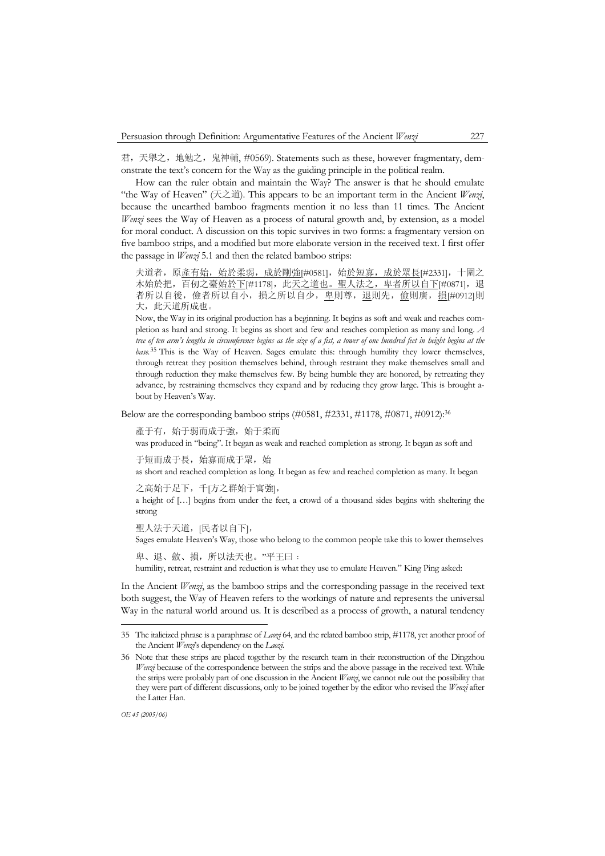君,天舉之,地勉之,鬼神輔, #0569). Statements such as these, however fragmentary, demonstrate the text's concern for the Way as the guiding principle in the political realm.

 How can the ruler obtain and maintain the Way? The answer is that he should emulate "the Way of Heaven" (天之道). This appears to be an important term in the Ancient *Wenzi*, because the unearthed bamboo fragments mention it no less than 11 times. The Ancient *Wenzi* sees the Way of Heaven as a process of natural growth and, by extension, as a model for moral conduct. A discussion on this topic survives in two forms: a fragmentary version on five bamboo strips, and a modified but more elaborate version in the received text. I first offer the passage in *Wenzi* 5.1 and then the related bamboo strips:

夫道者,原產有始,始於柔弱,成於剛強[#0581],始於短寡,成於眾長[#2331],十圍之 木始於把,百仞之臺始於下[#1178],此天之道也。聖人法之,卑者所以自下[#0871],退 者所以自後, 儉者所以自小, 損之所以自少, 卑則尊, 退則先, 儉則廣, 損[#0912]則 大, 此天道所成也。

Now, the Way in its original production has a beginning. It begins as soft and weak and reaches completion as hard and strong. It begins as short and few and reaches completion as many and long. *A tree of ten arm's lengths in circumference begins as the size of a fist, a tower of one hundred feet in height begins at the base*. 35 This is the Way of Heaven. Sages emulate this: through humility they lower themselves, through retreat they position themselves behind, through restraint they make themselves small and through reduction they make themselves few. By being humble they are honored, by retreating they advance, by restraining themselves they expand and by reducing they grow large. This is brought about by Heaven's Way.

Below are the corresponding bamboo strips  $(\#0581, \#2331, \#1178, \#0871, \#0912)$ :<sup>36</sup>

產于有,始于弱而成于強,始于柔而

was produced in "being". It began as weak and reached completion as strong. It began as soft and

于短而成于長, 始寡而成于眾, 始 as short and reached completion as long. It began as few and reached completion as many. It began

之高始于足下,千[方之群始于寓強],

a height of […] begins from under the feet, a crowd of a thousand sides begins with sheltering the strong

聖人法于天道,[民者以自下],

Sages emulate Heaven's Way, those who belong to the common people take this to lower themselves

卑、退、斂、損,所以法天也。"平王曰:

humility, retreat, restraint and reduction is what they use to emulate Heaven." King Ping asked:

In the Ancient *Wenzi*, as the bamboo strips and the corresponding passage in the received text both suggest, the Way of Heaven refers to the workings of nature and represents the universal Way in the natural world around us. It is described as a process of growth, a natural tendency

<sup>35</sup> The italicized phrase is a paraphrase of *Laozi* 64, and the related bamboo strip, #1178, yet another proof of the Ancient *Wenzi*'s dependency on the *Laozi*.

<sup>36</sup> Note that these strips are placed together by the research team in their reconstruction of the Dingzhou *Wenzi* because of the correspondence between the strips and the above passage in the received text. While the strips were probably part of one discussion in the Ancient *Wenzi*, we cannot rule out the possibility that they were part of different discussions, only to be joined together by the editor who revised the *Wenzi* after the Latter Han.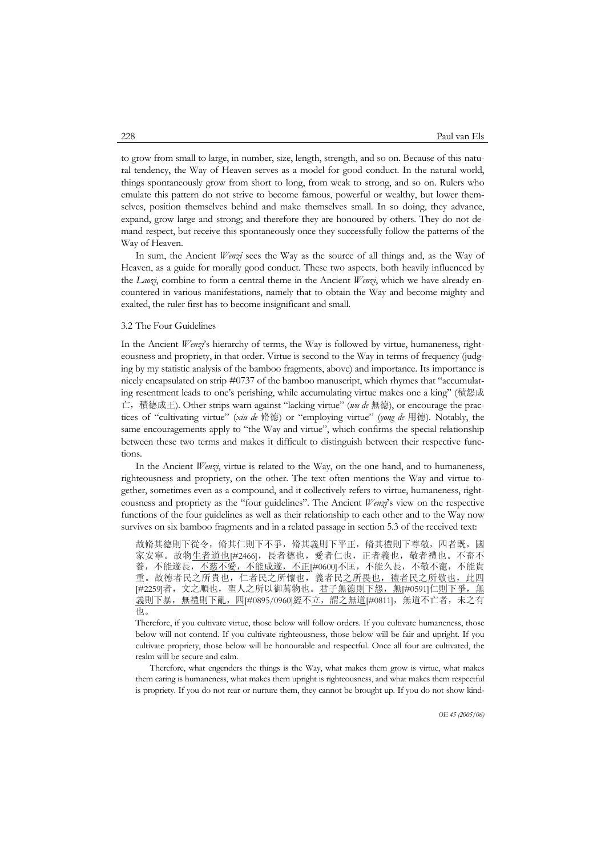to grow from small to large, in number, size, length, strength, and so on. Because of this natural tendency, the Way of Heaven serves as a model for good conduct. In the natural world, things spontaneously grow from short to long, from weak to strong, and so on. Rulers who emulate this pattern do not strive to become famous, powerful or wealthy, but lower themselves, position themselves behind and make themselves small. In so doing, they advance, expand, grow large and strong; and therefore they are honoured by others. They do not demand respect, but receive this spontaneously once they successfully follow the patterns of the Way of Heaven.

 In sum, the Ancient *Wenzi* sees the Way as the source of all things and, as the Way of Heaven, as a guide for morally good conduct. These two aspects, both heavily influenced by the *Laozi*, combine to form a central theme in the Ancient *Wenzi*, which we have already encountered in various manifestations, namely that to obtain the Way and become mighty and exalted, the ruler first has to become insignificant and small.

### 3.2 The Four Guidelines

In the Ancient *Wenzi*'s hierarchy of terms, the Way is followed by virtue, humaneness, righteousness and propriety, in that order. Virtue is second to the Way in terms of frequency (judging by my statistic analysis of the bamboo fragments, above) and importance. Its importance is nicely encapsulated on strip #0737 of the bamboo manuscript, which rhymes that "accumulating resentment leads to one's perishing, while accumulating virtue makes one a king" (積怨成 亡,積德成王). Other strips warn against "lacking virtue" (*wu de* 無德), or encourage the practices of "cultivating virtue" (*xiu de* 脩德) or "employing virtue" (*yong de* 用德). Notably, the same encouragements apply to "the Way and virtue", which confirms the special relationship between these two terms and makes it difficult to distinguish between their respective functions.

 In the Ancient *Wenzi*, virtue is related to the Way, on the one hand, and to humaneness, righteousness and propriety, on the other. The text often mentions the Way and virtue together, sometimes even as a compound, and it collectively refers to virtue, humaneness, righteousness and propriety as the "four guidelines". The Ancient *Wenzi*'s view on the respective functions of the four guidelines as well as their relationship to each other and to the Way now survives on six bamboo fragments and in a related passage in section 5.3 of the received text:

故脩其德則下從令, 脩其仁則下不爭, 脩其義則下平正, 脩其禮則下尊敬, 四者既, 國 家安寧。故物<u>生者道也[</u>#2466],長者德也,愛者仁也,正者義也,敬者禮也。不畜不 養,不能遂長,不慈<u>不愛,不能成遂,不正[</u>#0600]不匡,不能久長,不敬不寵,不能貴 重。故德者民之所貴也,仁者民之所懷也,義者民之所畏也,禮者民之所敬也,此四 [#2259]者,文之順也,聖人之所以御萬物也。君子無德則下怨,無[#0591]仁則下爭,無 義則下暴,無禮則下亂,四[#0895/0960]經不立,謂之無道[#0811],無道不亡者,未之有 也。

Therefore, if you cultivate virtue, those below will follow orders. If you cultivate humaneness, those below will not contend. If you cultivate righteousness, those below will be fair and upright. If you cultivate propriety, those below will be honourable and respectful. Once all four are cultivated, the realm will be secure and calm.

Therefore, what engenders the things is the Way, what makes them grow is virtue, what makes them caring is humaneness, what makes them upright is righteousness, and what makes them respectful is propriety. If you do not rear or nurture them, they cannot be brought up. If you do not show kind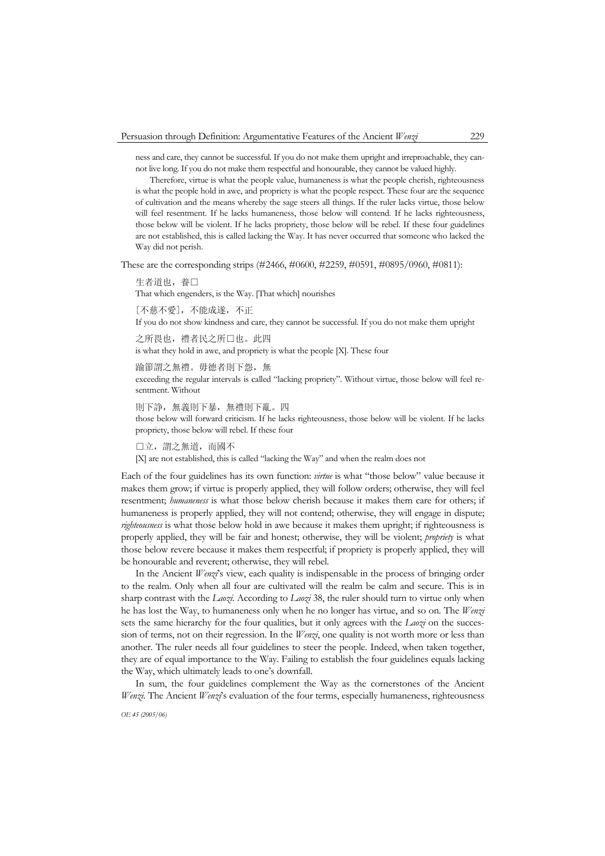ness and care, they cannot be successful. If you do not make them upright and irreproachable, they cannot live long. If you do not make them respectful and honourable, they cannot be valued highly.

Therefore, virtue is what the people value, humaneness is what the people cherish, righteousness is what the people hold in awe, and propriety is what the people respect. These four are the sequence of cultivation and the means whereby the sage steers all things. If the ruler lacks virtue, those below will feel resentment. If he lacks humaneness, those below will contend. If he lacks righteousness, those below will be violent. If he lacks propriety, those below will be rebel. If these four guidelines are not established, this is called lacking the Way. It has never occurred that someone who lacked the Way did not perish.

These are the corresponding strips (#2466, #0600, #2259, #0591, #0895/0960, #0811):

生者道也, 春□

That which engenders, is the Way. [That which] nourishes

[不慈不愛],不能成遂,不正 If you do not show kindness and care, they cannot be successful. If you do not make them upright

之所畏也,禮者民之所□也。此四 is what they hold in awe, and propriety is what the people [X]. These four

踰節謂之無禮。毋德者則下怨,無 exceeding the regular intervals is called "lacking propriety". Without virtue, those below will feel resentment. Without

則下諍,無義則下暴,無禮則下亂。四 those below will forward criticism. If he lacks righteousness, those below will be violent. If he lacks propriety, those below will rebel. If these four

□立,謂之無道,而國不

[X] are not established, this is called "lacking the Way" and when the realm does not

Each of the four guidelines has its own function: *virtue* is what "those below" value because it makes them grow; if virtue is properly applied, they will follow orders; otherwise, they will feel resentment; *humaneness* is what those below cherish because it makes them care for others; if humaneness is properly applied, they will not contend; otherwise, they will engage in dispute; *righteousness* is what those below hold in awe because it makes them upright; if righteousness is properly applied, they will be fair and honest; otherwise, they will be violent; *propriety* is what those below revere because it makes them respectful; if propriety is properly applied, they will be honourable and reverent; otherwise, they will rebel.

 In the Ancient *Wenzi*'s view, each quality is indispensable in the process of bringing order to the realm. Only when all four are cultivated will the realm be calm and secure. This is in sharp contrast with the *Laozi*. According to *Laozi* 38, the ruler should turn to virtue only when he has lost the Way, to humaneness only when he no longer has virtue, and so on. The *Wenzi* sets the same hierarchy for the four qualities, but it only agrees with the *Laozi* on the succession of terms, not on their regression. In the *Wenzi*, one quality is not worth more or less than another. The ruler needs all four guidelines to steer the people. Indeed, when taken together, they are of equal importance to the Way. Failing to establish the four guidelines equals lacking the Way, which ultimately leads to one's downfall.

 In sum, the four guidelines complement the Way as the cornerstones of the Ancient *Wenzi*. The Ancient *Wenzi*'s evaluation of the four terms, especially humaneness, righteousness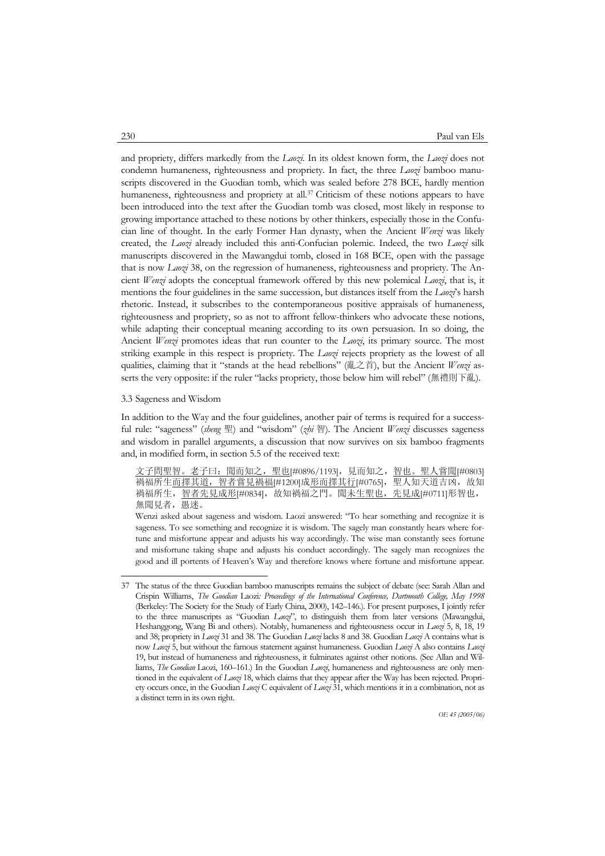and propriety, differs markedly from the *Laozi*. In its oldest known form, the *Laozi* does not condemn humaneness, righteousness and propriety. In fact, the three *Laozi* bamboo manuscripts discovered in the Guodian tomb, which was sealed before 278 BCE, hardly mention humaneness, righteousness and propriety at all.<sup>37</sup> Criticism of these notions appears to have been introduced into the text after the Guodian tomb was closed, most likely in response to growing importance attached to these notions by other thinkers, especially those in the Confucian line of thought. In the early Former Han dynasty, when the Ancient *Wenzi* was likely created, the *Laozi* already included this anti-Confucian polemic. Indeed, the two *Laozi* silk manuscripts discovered in the Mawangdui tomb, closed in 168 BCE, open with the passage that is now *Laozi* 38, on the regression of humaneness, righteousness and propriety. The Ancient *Wenzi* adopts the conceptual framework offered by this new polemical *Laozi*, that is, it mentions the four guidelines in the same succession, but distances itself from the *Laozi*'s harsh rhetoric. Instead, it subscribes to the contemporaneous positive appraisals of humaneness, righteousness and propriety, so as not to affront fellow-thinkers who advocate these notions, while adapting their conceptual meaning according to its own persuasion. In so doing, the Ancient *Wenzi* promotes ideas that run counter to the *Laozi*, its primary source. The most striking example in this respect is propriety. The *Laozi* rejects propriety as the lowest of all qualities, claiming that it "stands at the head rebellions" (亂之首), but the Ancient *Wenzi* asserts the very opposite: if the ruler "lacks propriety, those below him will rebel" (無禮則下亂).

### 3.3 Sageness and Wisdom

-

In addition to the Way and the four guidelines, another pair of terms is required for a successful rule: "sageness" (*sheng* 聖) and "wisdom" (*zhi* 智). The Ancient *Wenzi* discusses sageness and wisdom in parallel arguments, a discussion that now survives on six bamboo fragments and, in modified form, in section 5.5 of the received text:

文子問聖智。老子曰:聞而知之,聖也[#0896/1193],見而知之,智也。聖人嘗聞[#0803] 禍福所生<u>而擇其道,智者嘗見禍福[#1200]成形而擇其行[#0765],</u>聖人知天道吉凶,故知 禍福所生, 智者先見成形[#0834],故知禍福之門。聞未生聖也,先見成[#0711]形智也, 無聞見者,愚迷。

Wenzi asked about sageness and wisdom. Laozi answered: "To hear something and recognize it is sageness. To see something and recognize it is wisdom. The sagely man constantly hears where fortune and misfortune appear and adjusts his way accordingly. The wise man constantly sees fortune and misfortune taking shape and adjusts his conduct accordingly. The sagely man recognizes the good and ill portents of Heaven's Way and therefore knows where fortune and misfortune appear.

<sup>37</sup> The status of the three Guodian bamboo manuscripts remains the subject of debate (see: Sarah Allan and Crispin Williams, *The Guodian* Laozi*: Proceedings of the International Conference, Dartmouth College, May 1998* (Berkeley: The Society for the Study of Early China, 2000), 142–146.). For present purposes, I jointly refer to the three manuscripts as "Guodian *Laozi*", to distinguish them from later versions (Mawangdui, Heshanggong, Wang Bi and others). Notably, humaneness and righteousness occur in *Laozi* 5, 8, 18, 19 and 38; propriety in *Laozi* 31 and 38. The Guodian *Laozi* lacks 8 and 38. Guodian *Laozi* A contains what is now *Laozi* 5, but without the famous statement against humaneness. Guodian *Laozi* A also contains *Laozi* 19, but instead of humaneness and righteousness, it fulminates against other notions. (See Allan and Williams, *The Guodian* Laozi, 160–161.) In the Guodian *Laozi*, humaneness and righteousness are only mentioned in the equivalent of *Laozi* 18, which claims that they appear after the Way has been rejected. Propriety occurs once, in the Guodian *Laozi* C equivalent of *Laozi* 31, which mentions it in a combination, not as a distinct term in its own right.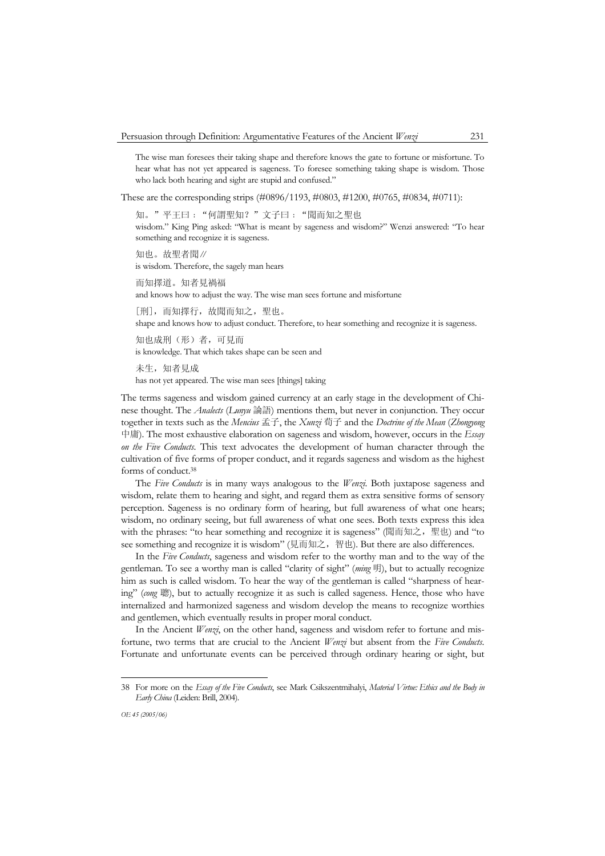The wise man foresees their taking shape and therefore knows the gate to fortune or misfortune. To hear what has not yet appeared is sageness. To foresee something taking shape is wisdom. Those who lack both hearing and sight are stupid and confused."

These are the corresponding strips (#0896/1193, #0803, #1200, #0765, #0834, #0711):

知。"平王曰:"何謂聖知?"文子曰:"聞而知之聖也 wisdom." King Ping asked: "What is meant by sageness and wisdom?" Wenzi answered: "To hear something and recognize it is sageness.

知也。故聖者聞∥ is wisdom. Therefore, the sagely man hears

而知擇道。知者見禍福 and knows how to adjust the way. The wise man sees fortune and misfortune

[刑],而知擇行,故聞而知之,聖也。 shape and knows how to adjust conduct. Therefore, to hear something and recognize it is sageness.

知也成刑(形)者,可見而 is knowledge. That which takes shape can be seen and

未生,知者見成 has not yet appeared. The wise man sees [things] taking

The terms sageness and wisdom gained currency at an early stage in the development of Chinese thought. The *Analects* (*Lunyu* 論語) mentions them, but never in conjunction. They occur together in texts such as the *Mencius* 孟子, the *Xunzi* 荀子 and the *Doctrine of the Mean* (*Zhongyong* 中庸). The most exhaustive elaboration on sageness and wisdom, however, occurs in the *Essay on the Five Conducts*. This text advocates the development of human character through the cultivation of five forms of proper conduct, and it regards sageness and wisdom as the highest forms of conduct.38

 The *Five Conducts* is in many ways analogous to the *Wenzi*. Both juxtapose sageness and wisdom, relate them to hearing and sight, and regard them as extra sensitive forms of sensory perception. Sageness is no ordinary form of hearing, but full awareness of what one hears; wisdom, no ordinary seeing, but full awareness of what one sees. Both texts express this idea with the phrases: "to hear something and recognize it is sageness" (聞而知之, 聖也) and "to see something and recognize it is wisdom" (見而知之, 智也). But there are also differences.

 In the *Five Conducts*, sageness and wisdom refer to the worthy man and to the way of the gentleman. To see a worthy man is called "clarity of sight" (*ming* 明), but to actually recognize him as such is called wisdom. To hear the way of the gentleman is called "sharpness of hearing" (*cong* 聰), but to actually recognize it as such is called sageness. Hence, those who have internalized and harmonized sageness and wisdom develop the means to recognize worthies and gentlemen, which eventually results in proper moral conduct.

 In the Ancient *Wenzi*, on the other hand, sageness and wisdom refer to fortune and misfortune, two terms that are crucial to the Ancient *Wenzi* but absent from the *Five Conducts*. Fortunate and unfortunate events can be perceived through ordinary hearing or sight, but

<sup>38</sup> For more on the *Essay of the Five Conducts*, see Mark Csikszentmihalyi, *Material Virtue: Ethics and the Body in Early China* (Leiden: Brill, 2004).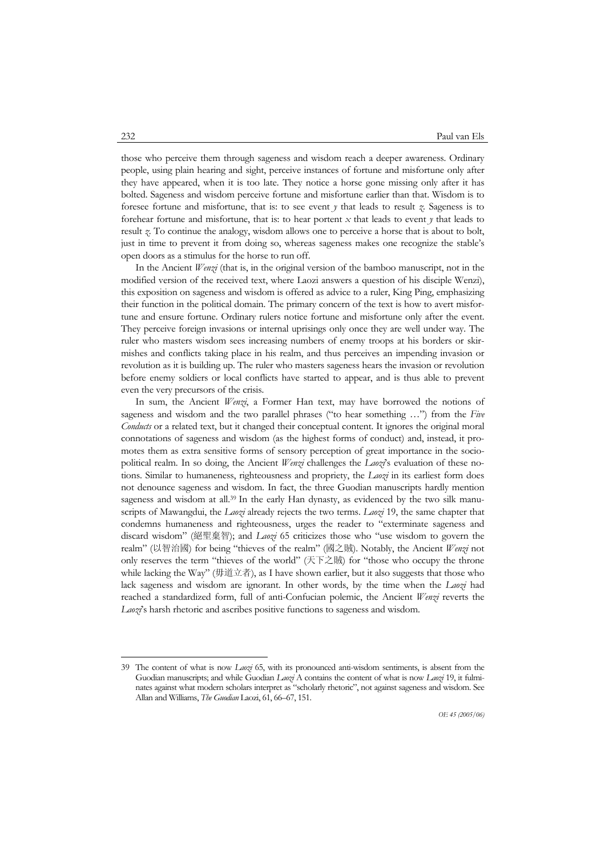those who perceive them through sageness and wisdom reach a deeper awareness. Ordinary people, using plain hearing and sight, perceive instances of fortune and misfortune only after they have appeared, when it is too late. They notice a horse gone missing only after it has bolted. Sageness and wisdom perceive fortune and misfortune earlier than that. Wisdom is to foresee fortune and misfortune, that is: to see event *y* that leads to result *z*. Sageness is to forehear fortune and misfortune, that is: to hear portent  $x$  that leads to event  $y$  that leads to result *z*. To continue the analogy, wisdom allows one to perceive a horse that is about to bolt, just in time to prevent it from doing so, whereas sageness makes one recognize the stable's open doors as a stimulus for the horse to run off.

 In the Ancient *Wenzi* (that is, in the original version of the bamboo manuscript, not in the modified version of the received text, where Laozi answers a question of his disciple Wenzi), this exposition on sageness and wisdom is offered as advice to a ruler, King Ping, emphasizing their function in the political domain. The primary concern of the text is how to avert misfortune and ensure fortune. Ordinary rulers notice fortune and misfortune only after the event. They perceive foreign invasions or internal uprisings only once they are well under way. The ruler who masters wisdom sees increasing numbers of enemy troops at his borders or skirmishes and conflicts taking place in his realm, and thus perceives an impending invasion or revolution as it is building up. The ruler who masters sageness hears the invasion or revolution before enemy soldiers or local conflicts have started to appear, and is thus able to prevent even the very precursors of the crisis.

 In sum, the Ancient *Wenzi*, a Former Han text, may have borrowed the notions of sageness and wisdom and the two parallel phrases ("to hear something …") from the *Five Conducts* or a related text, but it changed their conceptual content. It ignores the original moral connotations of sageness and wisdom (as the highest forms of conduct) and, instead, it promotes them as extra sensitive forms of sensory perception of great importance in the sociopolitical realm. In so doing, the Ancient *Wenzi* challenges the *Laozi*'s evaluation of these notions. Similar to humaneness, righteousness and propriety, the *Laozi* in its earliest form does not denounce sageness and wisdom. In fact, the three Guodian manuscripts hardly mention sageness and wisdom at all.<sup>39</sup> In the early Han dynasty, as evidenced by the two silk manuscripts of Mawangdui, the *Laozi* already rejects the two terms. *Laozi* 19, the same chapter that condemns humaneness and righteousness, urges the reader to "exterminate sageness and discard wisdom" (絕聖棄智); and *Laozi* 65 criticizes those who "use wisdom to govern the realm" (以智治國) for being "thieves of the realm" (國之賊). Notably, the Ancient *Wenzi* not only reserves the term "thieves of the world" (天下之賊) for "those who occupy the throne while lacking the Way" (毋道立者), as I have shown earlier, but it also suggests that those who lack sageness and wisdom are ignorant. In other words, by the time when the *Laozi* had reached a standardized form, full of anti-Confucian polemic, the Ancient *Wenzi* reverts the *Laozi*'s harsh rhetoric and ascribes positive functions to sageness and wisdom.

<sup>39</sup> The content of what is now *Laozi* 65, with its pronounced anti-wisdom sentiments, is absent from the Guodian manuscripts; and while Guodian *Laozi* A contains the content of what is now *Laozi* 19, it fulminates against what modern scholars interpret as "scholarly rhetoric", not against sageness and wisdom. See Allan and Williams, *The Guodian* Laozi, 61, 66–67, 151.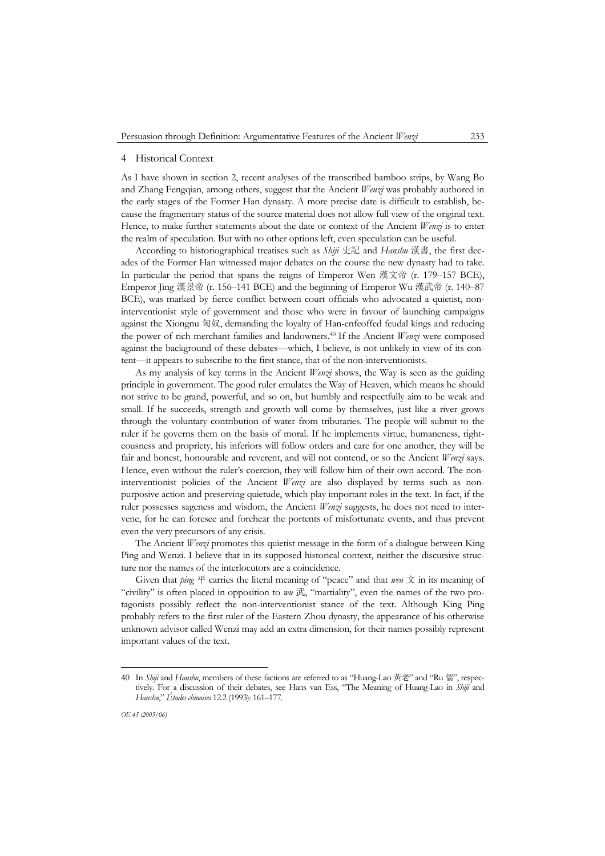#### 4 Historical Context

As I have shown in section 2, recent analyses of the transcribed bamboo strips, by Wang Bo and Zhang Fengqian, among others, suggest that the Ancient *Wenzi* was probably authored in the early stages of the Former Han dynasty. A more precise date is difficult to establish, because the fragmentary status of the source material does not allow full view of the original text. Hence, to make further statements about the date or context of the Ancient *Wenzi* is to enter the realm of speculation. But with no other options left, even speculation can be useful.

 According to historiographical treatises such as *Shiji* 史記 and *Hanshu* 漢書, the first decades of the Former Han witnessed major debates on the course the new dynasty had to take. In particular the period that spans the reigns of Emperor Wen 漢文帝 (r. 179–157 BCE), Emperor Jing 漢景帝 (r. 156–141 BCE) and the beginning of Emperor Wu 漢武帝 (r. 140–87 BCE), was marked by fierce conflict between court officials who advocated a quietist, noninterventionist style of government and those who were in favour of launching campaigns against the Xiongnu 匈奴, demanding the loyalty of Han-enfeoffed feudal kings and reducing the power of rich merchant families and landowners.40 If the Ancient *Wenzi* were composed against the background of these debates—which, I believe, is not unlikely in view of its content—it appears to subscribe to the first stance, that of the non-interventionists.

 As my analysis of key terms in the Ancient *Wenzi* shows, the Way is seen as the guiding principle in government. The good ruler emulates the Way of Heaven, which means he should not strive to be grand, powerful, and so on, but humbly and respectfully aim to be weak and small. If he succeeds, strength and growth will come by themselves, just like a river grows through the voluntary contribution of water from tributaries. The people will submit to the ruler if he governs them on the basis of moral. If he implements virtue, humaneness, righteousness and propriety, his inferiors will follow orders and care for one another, they will be fair and honest, honourable and reverent, and will not contend, or so the Ancient *Wenzi* says. Hence, even without the ruler's coercion, they will follow him of their own accord. The noninterventionist policies of the Ancient *Wenzi* are also displayed by terms such as nonpurposive action and preserving quietude, which play important roles in the text. In fact, if the ruler possesses sageness and wisdom, the Ancient *Wenzi* suggests, he does not need to intervene, for he can foresee and forehear the portents of misfortunate events, and thus prevent even the very precursors of any crisis.

 The Ancient *Wenzi* promotes this quietist message in the form of a dialogue between King Ping and Wenzi. I believe that in its supposed historical context, neither the discursive structure nor the names of the interlocutors are a coincidence.

Given that *ping*  $\overline{P}$  carries the literal meaning of "peace" and that *wen*  $\overline{X}$  in its meaning of "civility" is often placed in opposition to *wu* 武, "martiality", even the names of the two protagonists possibly reflect the non-interventionist stance of the text. Although King Ping probably refers to the first ruler of the Eastern Zhou dynasty, the appearance of his otherwise unknown advisor called Wenzi may add an extra dimension, for their names possibly represent important values of the text.

<sup>40</sup> In *Shiji* and *Hanshu*, members of these factions are referred to as "Huang-Lao 黃老" and "Ru 儒", respectively. For a discussion of their debates, see Hans van Ess, "The Meaning of Huang-Lao in *Shiji* and *Hanshu*," *Études chinoises* 12.2 (1993): 161–177.